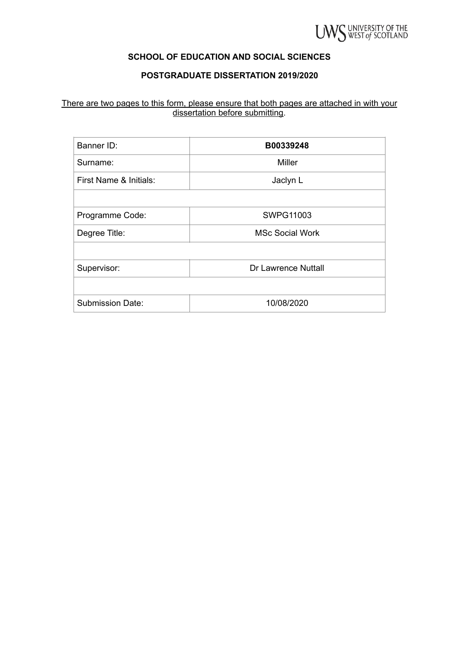

## **SCHOOL OF EDUCATION AND SOCIAL SCIENCES**

## **POSTGRADUATE DISSERTATION 2019/2020**

#### There are two pages to this form, please ensure that both pages are attached in with your dissertation before submitting.

| Banner ID:              | B00339248                  |
|-------------------------|----------------------------|
| Surname:                | Miller                     |
| First Name & Initials:  | Jaclyn L                   |
|                         |                            |
| Programme Code:         | <b>SWPG11003</b>           |
| Degree Title:           | <b>MSc Social Work</b>     |
|                         |                            |
| Supervisor:             | <b>Dr Lawrence Nuttall</b> |
|                         |                            |
| <b>Submission Date:</b> | 10/08/2020                 |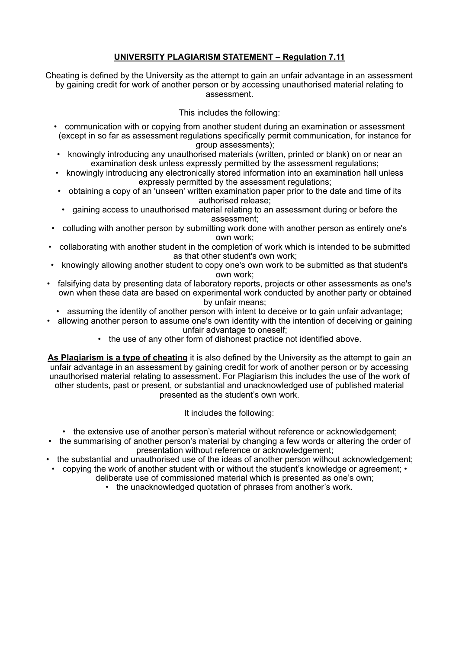## **UNIVERSITY PLAGIARISM STATEMENT – Regulation 7.11**

Cheating is defined by the University as the attempt to gain an unfair advantage in an assessment by gaining credit for work of another person or by accessing unauthorised material relating to assessment.

### This includes the following:

- communication with or copying from another student during an examination or assessment (except in so far as assessment regulations specifically permit communication, for instance for group assessments);
- knowingly introducing any unauthorised materials (written, printed or blank) on or near an examination desk unless expressly permitted by the assessment regulations;
- knowingly introducing any electronically stored information into an examination hall unless expressly permitted by the assessment regulations;
- obtaining a copy of an 'unseen' written examination paper prior to the date and time of its authorised release;
- gaining access to unauthorised material relating to an assessment during or before the assessment;
- colluding with another person by submitting work done with another person as entirely one's own work;
- collaborating with another student in the completion of work which is intended to be submitted as that other student's own work;
- knowingly allowing another student to copy one's own work to be submitted as that student's own work;
- falsifying data by presenting data of laboratory reports, projects or other assessments as one's own when these data are based on experimental work conducted by another party or obtained by unfair means;
- assuming the identity of another person with intent to deceive or to gain unfair advantage;
- allowing another person to assume one's own identity with the intention of deceiving or gaining unfair advantage to oneself;
	- the use of any other form of dishonest practice not identified above.

**As Plagiarism is a type of cheating** it is also defined by the University as the attempt to gain an unfair advantage in an assessment by gaining credit for work of another person or by accessing unauthorised material relating to assessment. For Plagiarism this includes the use of the work of other students, past or present, or substantial and unacknowledged use of published material presented as the student's own work.

It includes the following:

- the extensive use of another person's material without reference or acknowledgement;
- the summarising of another person's material by changing a few words or altering the order of presentation without reference or acknowledgement;
- the substantial and unauthorised use of the ideas of another person without acknowledgement;
- copying the work of another student with or without the student's knowledge or agreement;
	- deliberate use of commissioned material which is presented as one's own;
		- the unacknowledged quotation of phrases from another's work.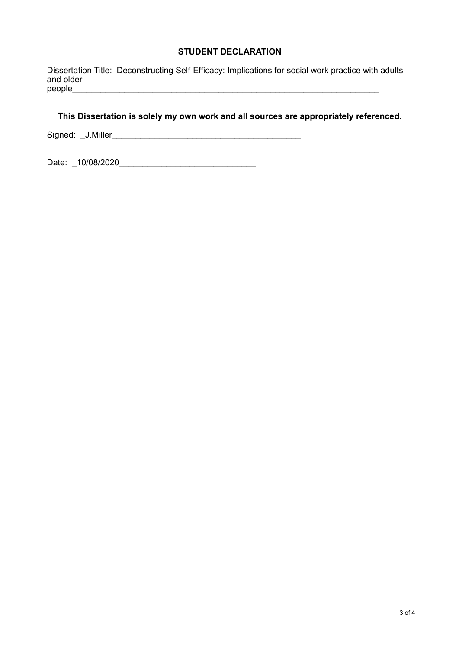## **STUDENT DECLARATION**

Dissertation Title: Deconstructing Self-Efficacy: Implications for social work practice with adults and older<br>people people\_\_\_\_\_\_\_\_\_\_\_\_\_\_\_\_\_\_\_\_\_\_\_\_\_\_\_\_\_\_\_\_\_\_\_\_\_\_\_\_\_\_\_\_\_\_\_\_\_\_\_\_\_\_\_\_\_\_\_\_\_\_\_\_\_

## **This Dissertation is solely my own work and all sources are appropriately referenced.**

Signed: \_J.Miller\_\_\_\_\_\_\_\_\_\_\_\_\_\_\_\_\_\_\_\_\_\_\_\_\_\_\_\_\_\_\_\_\_\_\_\_\_\_\_\_

Date: \_10/08/2020\_\_\_\_\_\_\_\_\_\_\_\_\_\_\_\_\_\_\_\_\_\_\_\_\_\_\_\_\_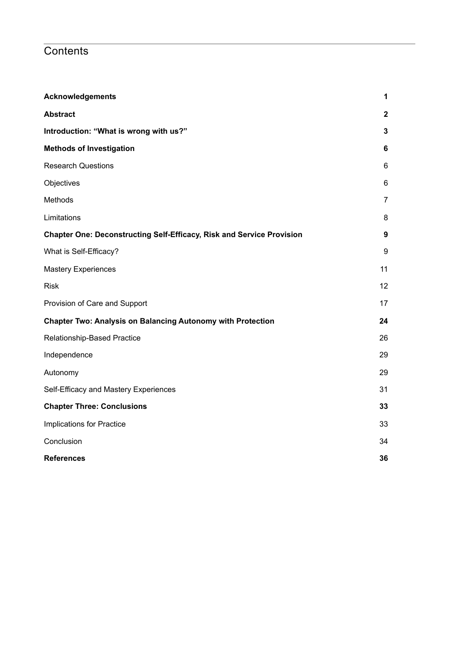# **Contents**

| <b>Acknowledgements</b>                                                      | 1                |
|------------------------------------------------------------------------------|------------------|
| <b>Abstract</b>                                                              | $\mathbf{2}$     |
| Introduction: "What is wrong with us?"                                       | $\mathbf{3}$     |
| <b>Methods of Investigation</b>                                              | $\bf 6$          |
| <b>Research Questions</b>                                                    | 6                |
| Objectives                                                                   | 6                |
| Methods                                                                      | $\overline{7}$   |
| Limitations                                                                  | 8                |
| <b>Chapter One: Deconstructing Self-Efficacy, Risk and Service Provision</b> | $\boldsymbol{9}$ |
| What is Self-Efficacy?                                                       | 9                |
| <b>Mastery Experiences</b>                                                   | 11               |
| <b>Risk</b>                                                                  | 12               |
| Provision of Care and Support                                                | 17               |
| <b>Chapter Two: Analysis on Balancing Autonomy with Protection</b>           | 24               |
| Relationship-Based Practice                                                  | 26               |
| Independence                                                                 | 29               |
| Autonomy                                                                     | 29               |
| Self-Efficacy and Mastery Experiences                                        | 31               |
| <b>Chapter Three: Conclusions</b>                                            | 33               |
| <b>Implications for Practice</b>                                             | 33               |
| Conclusion                                                                   | 34               |
| <b>References</b>                                                            | 36               |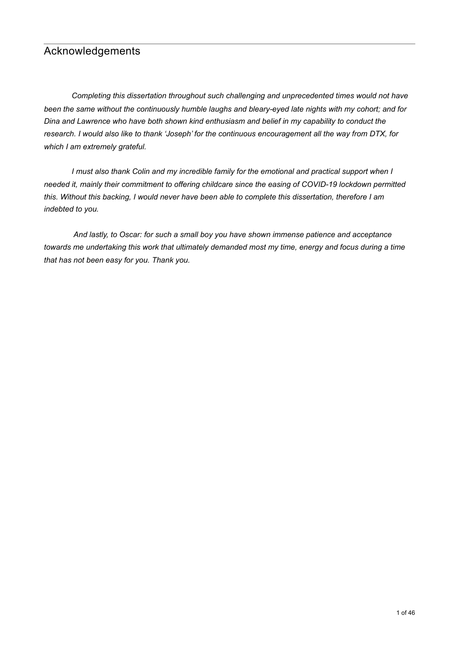# <span id="page-4-0"></span>Acknowledgements

 *Completing this dissertation throughout such challenging and unprecedented times would not have been the same without the continuously humble laughs and bleary-eyed late nights with my cohort; and for Dina and Lawrence who have both shown kind enthusiasm and belief in my capability to conduct the research. I would also like to thank 'Joseph' for the continuous encouragement all the way from DTX, for which I am extremely grateful.* 

 *I must also thank Colin and my incredible family for the emotional and practical support when I needed it, mainly their commitment to offering childcare since the easing of COVID-19 lockdown permitted this. Without this backing, I would never have been able to complete this dissertation, therefore I am indebted to you.* 

 *And lastly, to Oscar: for such a small boy you have shown immense patience and acceptance towards me undertaking this work that ultimately demanded most my time, energy and focus during a time that has not been easy for you. Thank you.*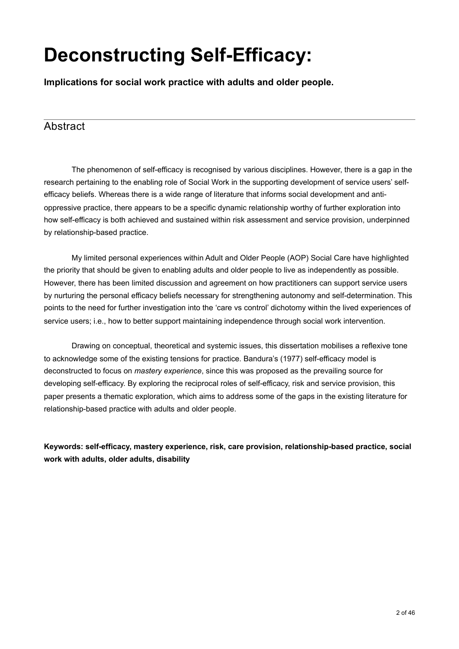# **Deconstructing Self-Efficacy:**

**Implications for social work practice with adults and older people.** 

# <span id="page-5-0"></span>Abstract

 The phenomenon of self-efficacy is recognised by various disciplines. However, there is a gap in the research pertaining to the enabling role of Social Work in the supporting development of service users' selfefficacy beliefs. Whereas there is a wide range of literature that informs social development and antioppressive practice, there appears to be a specific dynamic relationship worthy of further exploration into how self-efficacy is both achieved and sustained within risk assessment and service provision, underpinned by relationship-based practice.

 My limited personal experiences within Adult and Older People (AOP) Social Care have highlighted the priority that should be given to enabling adults and older people to live as independently as possible. However, there has been limited discussion and agreement on how practitioners can support service users by nurturing the personal efficacy beliefs necessary for strengthening autonomy and self-determination. This points to the need for further investigation into the 'care vs control' dichotomy within the lived experiences of service users; i.e., how to better support maintaining independence through social work intervention.

 Drawing on conceptual, theoretical and systemic issues, this dissertation mobilises a reflexive tone to acknowledge some of the existing tensions for practice. Bandura's (1977) self-efficacy model is deconstructed to focus on *mastery experience*, since this was proposed as the prevailing source for developing self-efficacy. By exploring the reciprocal roles of self-efficacy, risk and service provision, this paper presents a thematic exploration, which aims to address some of the gaps in the existing literature for relationship-based practice with adults and older people.

**Keywords: self-efficacy, mastery experience, risk, care provision, relationship-based practice, social work with adults, older adults, disability**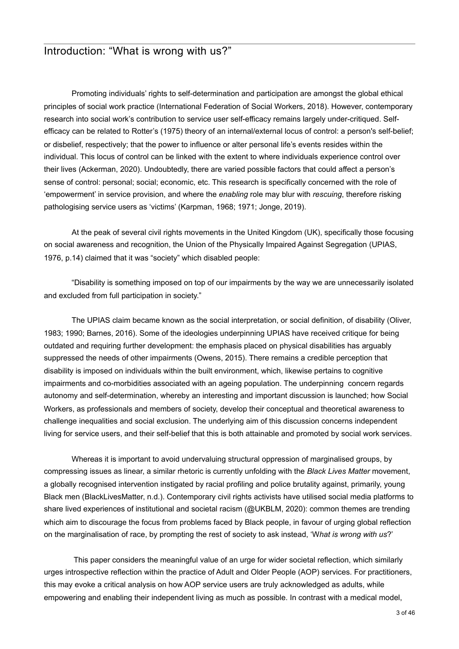# <span id="page-6-0"></span>Introduction: "What is wrong with us?"

 Promoting individuals' rights to self-determination and participation are amongst the global ethical principles of social work practice (International Federation of Social Workers, 2018). However, contemporary research into social work's contribution to service user self-efficacy remains largely under-critiqued. Selfefficacy can be related to Rotter's (1975) theory of an internal/external locus of control: a person's self-belief; or disbelief, respectively; that the power to influence or alter personal life's events resides within the individual. This locus of control can be linked with the extent to where individuals experience control over their lives (Ackerman, 2020). Undoubtedly, there are varied possible factors that could affect a person's sense of control: personal; social; economic, etc. This research is specifically concerned with the role of 'empowerment' in service provision, and where the *enabling* role may blur with *rescuing*, therefore risking pathologising service users as 'victims' (Karpman, 1968; 1971; Jonge, 2019).

 At the peak of several civil rights movements in the United Kingdom (UK), specifically those focusing on social awareness and recognition, the Union of the Physically Impaired Against Segregation (UPIAS, 1976, p.14) claimed that it was "society" which disabled people:

 "Disability is something imposed on top of our impairments by the way we are unnecessarily isolated and excluded from full participation in society."

 The UPIAS claim became known as the social interpretation, or social definition, of disability (Oliver, 1983; 1990; Barnes, 2016). Some of the ideologies underpinning UPIAS have received critique for being outdated and requiring further development: the emphasis placed on physical disabilities has arguably suppressed the needs of other impairments (Owens, 2015). There remains a credible perception that disability is imposed on individuals within the built environment, which, likewise pertains to cognitive impairments and co-morbidities associated with an ageing population. The underpinning concern regards autonomy and self-determination, whereby an interesting and important discussion is launched; how Social Workers, as professionals and members of society, develop their conceptual and theoretical awareness to challenge inequalities and social exclusion. The underlying aim of this discussion concerns independent living for service users, and their self-belief that this is both attainable and promoted by social work services.

 Whereas it is important to avoid undervaluing structural oppression of marginalised groups, by compressing issues as linear, a similar rhetoric is currently unfolding with the *Black Lives Matter* movement, a globally recognised intervention instigated by racial profiling and police brutality against, primarily, young Black men (BlackLivesMatter, n.d.). Contemporary civil rights activists have utilised social media platforms to share lived experiences of institutional and societal racism (@UKBLM, 2020): common themes are trending which aim to discourage the focus from problems faced by Black people, in favour of urging global reflection on the marginalisation of race, by prompting the rest of society to ask instead, 'W*hat is wrong with us*?'

 This paper considers the meaningful value of an urge for wider societal reflection, which similarly urges introspective reflection within the practice of Adult and Older People (AOP) services. For practitioners, this may evoke a critical analysis on how AOP service users are truly acknowledged as adults, while empowering and enabling their independent living as much as possible. In contrast with a medical model,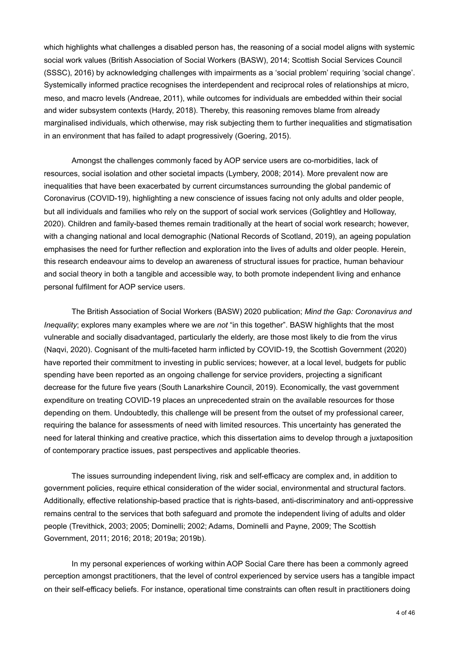which highlights what challenges a disabled person has, the reasoning of a social model aligns with systemic social work values (British Association of Social Workers (BASW), 2014; Scottish Social Services Council (SSSC), 2016) by acknowledging challenges with impairments as a 'social problem' requiring 'social change'. Systemically informed practice recognises the interdependent and reciprocal roles of relationships at micro, meso, and macro levels (Andreae, 2011), while outcomes for individuals are embedded within their social and wider subsystem contexts (Hardy, 2018). Thereby, this reasoning removes blame from already marginalised individuals, which otherwise, may risk subjecting them to further inequalities and stigmatisation in an environment that has failed to adapt progressively (Goering, 2015).

 Amongst the challenges commonly faced by AOP service users are co-morbidities, lack of resources, social isolation and other societal impacts (Lymbery, 2008; 2014). More prevalent now are inequalities that have been exacerbated by current circumstances surrounding the global pandemic of Coronavirus (COVID-19), highlighting a new conscience of issues facing not only adults and older people, but all individuals and families who rely on the support of social work services (Golightley and Holloway, 2020). Children and family-based themes remain traditionally at the heart of social work research; however, with a changing national and local demographic (National Records of Scotland, 2019), an ageing population emphasises the need for further reflection and exploration into the lives of adults and older people. Herein, this research endeavour aims to develop an awareness of structural issues for practice, human behaviour and social theory in both a tangible and accessible way, to both promote independent living and enhance personal fulfilment for AOP service users.

 The British Association of Social Workers (BASW) 2020 publication; *Mind the Gap: Coronavirus and Inequality*; explores many examples where we are *not* "in this together". BASW highlights that the most vulnerable and socially disadvantaged, particularly the elderly, are those most likely to die from the virus (Naqvi, 2020). Cognisant of the multi-faceted harm inflicted by COVID-19, the Scottish Government (2020) have reported their commitment to investing in public services; however, at a local level, budgets for public spending have been reported as an ongoing challenge for service providers, projecting a significant decrease for the future five years (South Lanarkshire Council, 2019). Economically, the vast government expenditure on treating COVID-19 places an unprecedented strain on the available resources for those depending on them. Undoubtedly, this challenge will be present from the outset of my professional career, requiring the balance for assessments of need with limited resources. This uncertainty has generated the need for lateral thinking and creative practice, which this dissertation aims to develop through a juxtaposition of contemporary practice issues, past perspectives and applicable theories.

 The issues surrounding independent living, risk and self-efficacy are complex and, in addition to government policies, require ethical consideration of the wider social, environmental and structural factors. Additionally, effective relationship-based practice that is rights-based, anti-discriminatory and anti-oppressive remains central to the services that both safeguard and promote the independent living of adults and older people (Trevithick, 2003; 2005; Dominelli; 2002; Adams, Dominelli and Payne, 2009; The Scottish Government, 2011; 2016; 2018; 2019a; 2019b).

 In my personal experiences of working within AOP Social Care there has been a commonly agreed perception amongst practitioners, that the level of control experienced by service users has a tangible impact on their self-efficacy beliefs. For instance, operational time constraints can often result in practitioners doing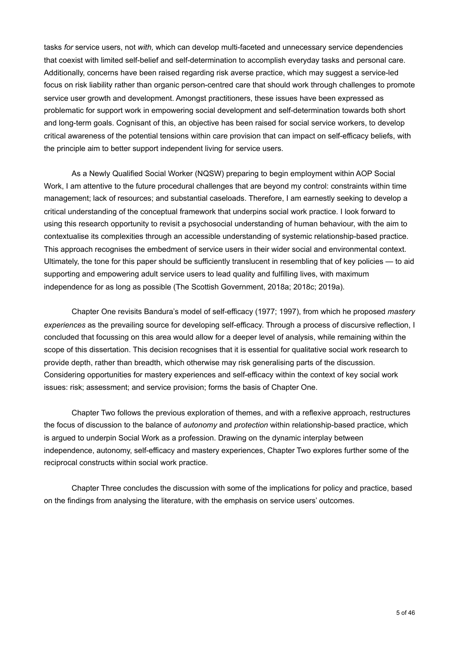tasks *for* service users, not *with,* which can develop multi-faceted and unnecessary service dependencies that coexist with limited self-belief and self-determination to accomplish everyday tasks and personal care. Additionally, concerns have been raised regarding risk averse practice, which may suggest a service-led focus on risk liability rather than organic person-centred care that should work through challenges to promote service user growth and development. Amongst practitioners, these issues have been expressed as problematic for support work in empowering social development and self-determination towards both short and long-term goals. Cognisant of this, an objective has been raised for social service workers, to develop critical awareness of the potential tensions within care provision that can impact on self-efficacy beliefs, with the principle aim to better support independent living for service users.

 As a Newly Qualified Social Worker (NQSW) preparing to begin employment within AOP Social Work, I am attentive to the future procedural challenges that are beyond my control: constraints within time management; lack of resources; and substantial caseloads. Therefore, I am earnestly seeking to develop a critical understanding of the conceptual framework that underpins social work practice. I look forward to using this research opportunity to revisit a psychosocial understanding of human behaviour, with the aim to contextualise its complexities through an accessible understanding of systemic relationship-based practice. This approach recognises the embedment of service users in their wider social and environmental context. Ultimately, the tone for this paper should be sufficiently translucent in resembling that of key policies — to aid supporting and empowering adult service users to lead quality and fulfilling lives, with maximum independence for as long as possible (The Scottish Government, 2018a; 2018c; 2019a).

 Chapter One revisits Bandura's model of self-efficacy (1977; 1997), from which he proposed *mastery experiences* as the prevailing source for developing self-efficacy. Through a process of discursive reflection, I concluded that focussing on this area would allow for a deeper level of analysis, while remaining within the scope of this dissertation. This decision recognises that it is essential for qualitative social work research to provide depth, rather than breadth, which otherwise may risk generalising parts of the discussion. Considering opportunities for mastery experiences and self-efficacy within the context of key social work issues: risk; assessment; and service provision; forms the basis of Chapter One.

 Chapter Two follows the previous exploration of themes, and with a reflexive approach, restructures the focus of discussion to the balance of *autonomy* and *protection* within relationship-based practice, which is argued to underpin Social Work as a profession. Drawing on the dynamic interplay between independence, autonomy, self-efficacy and mastery experiences, Chapter Two explores further some of the reciprocal constructs within social work practice.

 Chapter Three concludes the discussion with some of the implications for policy and practice, based on the findings from analysing the literature, with the emphasis on service users' outcomes.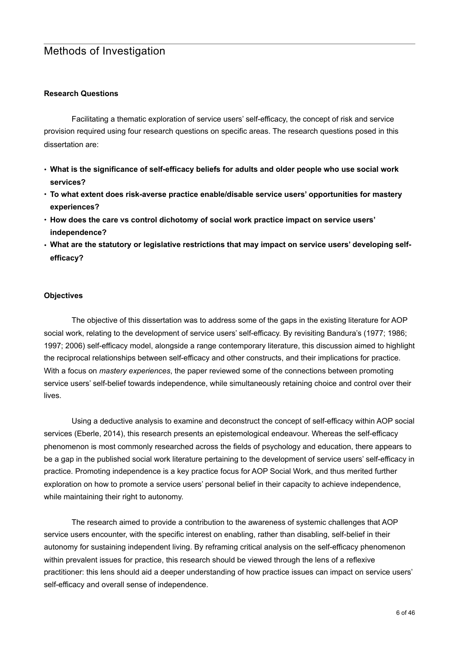# <span id="page-9-0"></span>Methods of Investigation

#### <span id="page-9-1"></span>**Research Questions**

 Facilitating a thematic exploration of service users' self-efficacy, the concept of risk and service provision required using four research questions on specific areas. The research questions posed in this dissertation are:

- **• What is the significance of self-efficacy beliefs for adults and older people who use social work services?**
- **• To what extent does risk-averse practice enable/disable service users' opportunities for mastery experiences?**
- **• How does the care vs control dichotomy of social work practice impact on service users' independence?**
- **• What are the statutory or legislative restrictions that may impact on service users' developing selfefficacy?**

#### <span id="page-9-2"></span>**Objectives**

 The objective of this dissertation was to address some of the gaps in the existing literature for AOP social work, relating to the development of service users' self-efficacy. By revisiting Bandura's (1977; 1986; 1997; 2006) self-efficacy model, alongside a range contemporary literature, this discussion aimed to highlight the reciprocal relationships between self-efficacy and other constructs, and their implications for practice. With a focus on *mastery experiences*, the paper reviewed some of the connections between promoting service users' self-belief towards independence, while simultaneously retaining choice and control over their lives.

 Using a deductive analysis to examine and deconstruct the concept of self-efficacy within AOP social services (Eberle, 2014), this research presents an epistemological endeavour. Whereas the self-efficacy phenomenon is most commonly researched across the fields of psychology and education, there appears to be a gap in the published social work literature pertaining to the development of service users' self-efficacy in practice. Promoting independence is a key practice focus for AOP Social Work, and thus merited further exploration on how to promote a service users' personal belief in their capacity to achieve independence, while maintaining their right to autonomy.

 The research aimed to provide a contribution to the awareness of systemic challenges that AOP service users encounter, with the specific interest on enabling, rather than disabling, self-belief in their autonomy for sustaining independent living. By reframing critical analysis on the self-efficacy phenomenon within prevalent issues for practice, this research should be viewed through the lens of a reflexive practitioner: this lens should aid a deeper understanding of how practice issues can impact on service users' self-efficacy and overall sense of independence.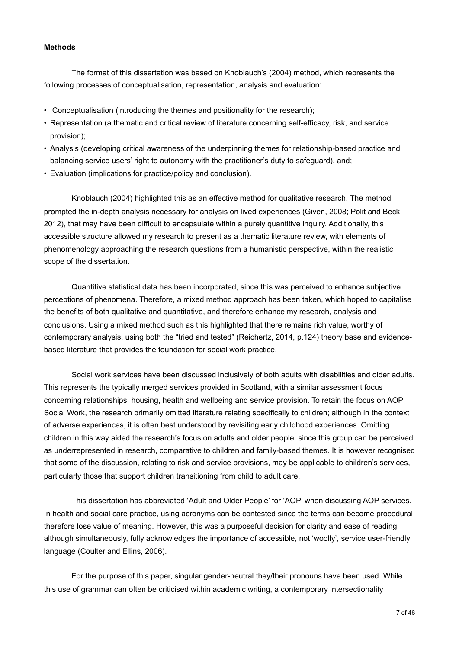#### <span id="page-10-0"></span>**Methods**

 The format of this dissertation was based on Knoblauch's (2004) method, which represents the following processes of conceptualisation, representation, analysis and evaluation:

- Conceptualisation (introducing the themes and positionality for the research);
- Representation (a thematic and critical review of literature concerning self-efficacy, risk, and service provision);
- Analysis (developing critical awareness of the underpinning themes for relationship-based practice and balancing service users' right to autonomy with the practitioner's duty to safeguard), and;
- Evaluation (implications for practice/policy and conclusion).

 Knoblauch (2004) highlighted this as an effective method for qualitative research. The method prompted the in-depth analysis necessary for analysis on lived experiences (Given, 2008; Polit and Beck, 2012), that may have been difficult to encapsulate within a purely quantitive inquiry. Additionally, this accessible structure allowed my research to present as a thematic literature review, with elements of phenomenology approaching the research questions from a humanistic perspective, within the realistic scope of the dissertation.

 Quantitive statistical data has been incorporated, since this was perceived to enhance subjective perceptions of phenomena. Therefore, a mixed method approach has been taken, which hoped to capitalise the benefits of both qualitative and quantitative, and therefore enhance my research, analysis and conclusions. Using a mixed method such as this highlighted that there remains rich value, worthy of contemporary analysis, using both the "tried and tested" (Reichertz, 2014, p.124) theory base and evidencebased literature that provides the foundation for social work practice.

 Social work services have been discussed inclusively of both adults with disabilities and older adults. This represents the typically merged services provided in Scotland, with a similar assessment focus concerning relationships, housing, health and wellbeing and service provision. To retain the focus on AOP Social Work, the research primarily omitted literature relating specifically to children; although in the context of adverse experiences, it is often best understood by revisiting early childhood experiences. Omitting children in this way aided the research's focus on adults and older people, since this group can be perceived as underrepresented in research, comparative to children and family-based themes. It is however recognised that some of the discussion, relating to risk and service provisions, may be applicable to children's services, particularly those that support children transitioning from child to adult care.

This dissertation has abbreviated 'Adult and Older People' for 'AOP' when discussing AOP services. In health and social care practice, using acronyms can be contested since the terms can become procedural therefore lose value of meaning. However, this was a purposeful decision for clarity and ease of reading, although simultaneously, fully acknowledges the importance of accessible, not 'woolly', service user-friendly language (Coulter and Ellins, 2006).

 For the purpose of this paper, singular gender-neutral they/their pronouns have been used. While this use of grammar can often be criticised within academic writing, a contemporary intersectionality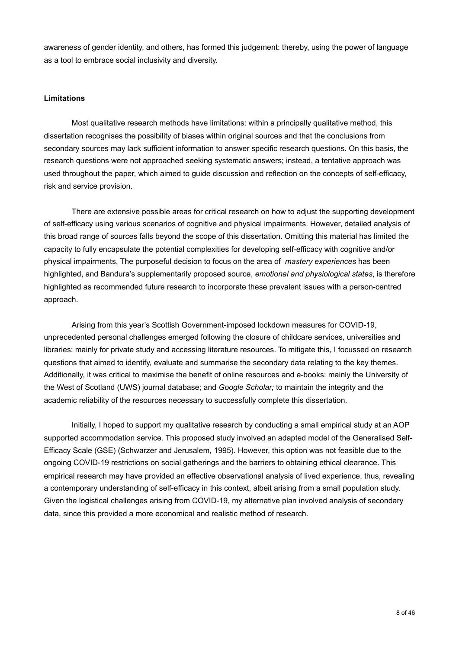awareness of gender identity, and others, has formed this judgement: thereby, using the power of language as a tool to embrace social inclusivity and diversity.

#### <span id="page-11-0"></span>**Limitations**

 Most qualitative research methods have limitations: within a principally qualitative method, this dissertation recognises the possibility of biases within original sources and that the conclusions from secondary sources may lack sufficient information to answer specific research questions. On this basis, the research questions were not approached seeking systematic answers; instead, a tentative approach was used throughout the paper, which aimed to guide discussion and reflection on the concepts of self-efficacy, risk and service provision.

 There are extensive possible areas for critical research on how to adjust the supporting development of self-efficacy using various scenarios of cognitive and physical impairments. However, detailed analysis of this broad range of sources falls beyond the scope of this dissertation. Omitting this material has limited the capacity to fully encapsulate the potential complexities for developing self-efficacy with cognitive and/or physical impairments. The purposeful decision to focus on the area of *mastery experiences* has been highlighted, and Bandura's supplementarily proposed source, *emotional and physiological states*, is therefore highlighted as recommended future research to incorporate these prevalent issues with a person-centred approach.

 Arising from this year's Scottish Government-imposed lockdown measures for COVID-19, unprecedented personal challenges emerged following the closure of childcare services, universities and libraries: mainly for private study and accessing literature resources. To mitigate this, I focussed on research questions that aimed to identify, evaluate and summarise the secondary data relating to the key themes. Additionally, it was critical to maximise the benefit of online resources and e-books: mainly the University of the West of Scotland (UWS) journal database; and *Google Scholar;* to maintain the integrity and the academic reliability of the resources necessary to successfully complete this dissertation.

 Initially, I hoped to support my qualitative research by conducting a small empirical study at an AOP supported accommodation service. This proposed study involved an adapted model of the Generalised Self-Efficacy Scale (GSE) (Schwarzer and Jerusalem, 1995). However, this option was not feasible due to the ongoing COVID-19 restrictions on social gatherings and the barriers to obtaining ethical clearance. This empirical research may have provided an effective observational analysis of lived experience, thus, revealing a contemporary understanding of self-efficacy in this context, albeit arising from a small population study. Given the logistical challenges arising from COVID-19, my alternative plan involved analysis of secondary data, since this provided a more economical and realistic method of research.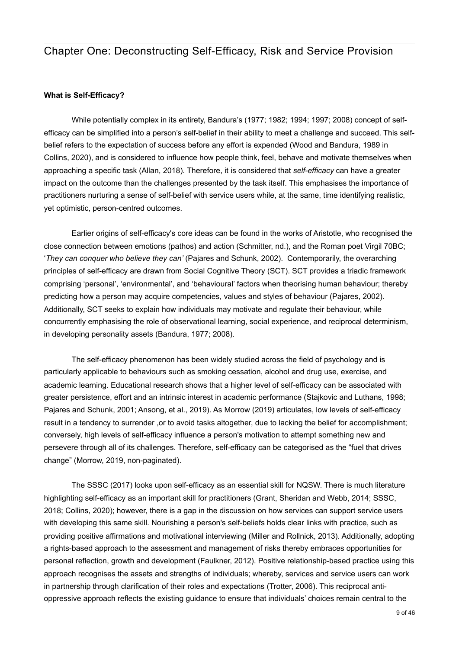# <span id="page-12-0"></span>Chapter One: Deconstructing Self-Efficacy, Risk and Service Provision

#### <span id="page-12-1"></span>**What is Self-Efficacy?**

While potentially complex in its entirety, Bandura's (1977; 1982; 1994; 1997; 2008) concept of selfefficacy can be simplified into a person's self-belief in their ability to meet a challenge and succeed. This selfbelief refers to the expectation of success before any effort is expended (Wood and Bandura, 1989 in Collins, 2020), and is considered to influence how people think, feel, behave and motivate themselves when approaching a specific task (Allan, 2018). Therefore, it is considered that *self-efficacy* can have a greater impact on the outcome than the challenges presented by the task itself. This emphasises the importance of practitioners nurturing a sense of self-belief with service users while, at the same, time identifying realistic, yet optimistic, person-centred outcomes.

 Earlier origins of self-efficacy's core ideas can be found in the works of Aristotle, who recognised the close connection between emotions (pathos) and action (Schmitter, nd.), and the Roman poet Virgil 70BC; '*They can conquer who believe they can'* (Pajares and Schunk, 2002). Contemporarily, the overarching principles of self-efficacy are drawn from Social Cognitive Theory (SCT). SCT provides a triadic framework comprising 'personal', 'environmental', and 'behavioural' factors when theorising human behaviour; thereby predicting how a person may acquire competencies, values and styles of behaviour (Pajares, 2002). Additionally, SCT seeks to explain how individuals may motivate and regulate their behaviour, while concurrently emphasising the role of observational learning, social experience, and reciprocal determinism, in developing personality assets (Bandura, 1977; 2008).

 The self-efficacy phenomenon has been widely studied across the field of psychology and is particularly applicable to behaviours such as smoking cessation, alcohol and drug use, exercise, and academic learning. Educational research shows that a higher level of self-efficacy can be associated with greater persistence, effort and an intrinsic interest in academic performance (Stajkovic and Luthans, 1998; Pajares and Schunk, 2001; Ansong, et al., 2019). As Morrow (2019) articulates, low levels of self-efficacy result in a tendency to surrender , or to avoid tasks altogether, due to lacking the belief for accomplishment; conversely, high levels of self-efficacy influence a person's motivation to attempt something new and persevere through all of its challenges. Therefore, self-efficacy can be categorised as the "fuel that drives change" (Morrow, 2019, non-paginated).

 The SSSC (2017) looks upon self-efficacy as an essential skill for NQSW. There is much literature highlighting self-efficacy as an important skill for practitioners (Grant, Sheridan and Webb, 2014; SSSC, 2018; Collins, 2020); however, there is a gap in the discussion on how services can support service users with developing this same skill. Nourishing a person's self-beliefs holds clear links with practice, such as providing positive affirmations and motivational interviewing (Miller and Rollnick, 2013). Additionally, adopting a rights-based approach to the assessment and management of risks thereby embraces opportunities for personal reflection, growth and development (Faulkner, 2012). Positive relationship-based practice using this approach recognises the assets and strengths of individuals; whereby, services and service users can work in partnership through clarification of their roles and expectations (Trotter, 2006). This reciprocal antioppressive approach reflects the existing guidance to ensure that individuals' choices remain central to the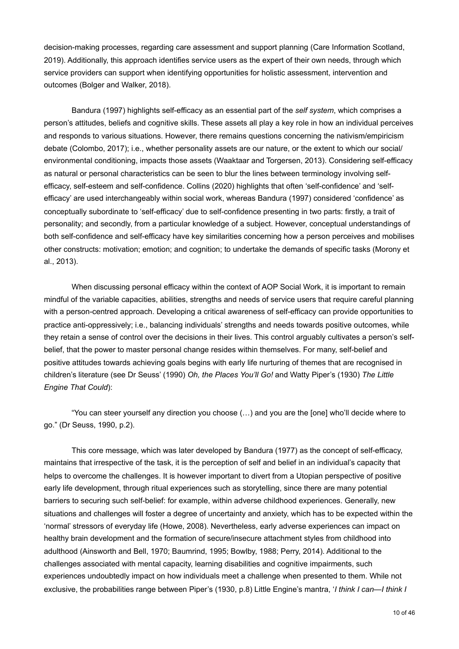decision-making processes, regarding care assessment and support planning (Care Information Scotland, 2019). Additionally, this approach identifies service users as the expert of their own needs, through which service providers can support when identifying opportunities for holistic assessment, intervention and outcomes (Bolger and Walker, 2018).

 Bandura (1997) highlights self-efficacy as an essential part of the *self system*, which comprises a person's attitudes, beliefs and cognitive skills. These assets all play a key role in how an individual perceives and responds to various situations. However, there remains questions concerning the nativism/empiricism debate (Colombo, 2017); i.e., whether personality assets are our nature, or the extent to which our social/ environmental conditioning, impacts those assets (Waaktaar and Torgersen, 2013). Considering self-efficacy as natural or personal characteristics can be seen to blur the lines between terminology involving selfefficacy, self-esteem and self-confidence. Collins (2020) highlights that often 'self-confidence' and 'selfefficacy' are used interchangeably within social work, whereas Bandura (1997) considered 'confidence' as conceptually subordinate to 'self-efficacy' due to self-confidence presenting in two parts: firstly, a trait of personality; and secondly, from a particular knowledge of a subject. However, conceptual understandings of both self-confidence and self-efficacy have key similarities concerning how a person perceives and mobilises other constructs: motivation; emotion; and cognition; to undertake the demands of specific tasks (Morony et al., 2013).

 When discussing personal efficacy within the context of AOP Social Work, it is important to remain mindful of the variable capacities, abilities, strengths and needs of service users that require careful planning with a person-centred approach. Developing a critical awareness of self-efficacy can provide opportunities to practice anti-oppressively; i.e., balancing individuals' strengths and needs towards positive outcomes, while they retain a sense of control over the decisions in their lives. This control arguably cultivates a person's selfbelief, that the power to master personal change resides within themselves. For many, self-belief and positive attitudes towards achieving goals begins with early life nurturing of themes that are recognised in children's literature (see Dr Seuss' (1990) *Oh, the Places You'll Go!* and Watty Piper's (1930) *The Little Engine That Could*):

 "You can steer yourself any direction you choose (…) and you are the [one] who'll decide where to go." (Dr Seuss, 1990, p.2).

 This core message, which was later developed by Bandura (1977) as the concept of self-efficacy, maintains that irrespective of the task, it is the perception of self and belief in an individual's capacity that helps to overcome the challenges. It is however important to divert from a Utopian perspective of positive early life development, through ritual experiences such as storytelling, since there are many potential barriers to securing such self-belief: for example, within adverse childhood experiences. Generally, new situations and challenges will foster a degree of uncertainty and anxiety, which has to be expected within the 'normal' stressors of everyday life (Howe, 2008). Nevertheless, early adverse experiences can impact on healthy brain development and the formation of secure/insecure attachment styles from childhood into adulthood (Ainsworth and Bell, 1970; Baumrind, 1995; Bowlby, 1988; Perry, 2014). Additional to the challenges associated with mental capacity, learning disabilities and cognitive impairments, such experiences undoubtedly impact on how individuals meet a challenge when presented to them. While not exclusive, the probabilities range between Piper's (1930, p.8) Little Engine's mantra, '*I think I can—I think I*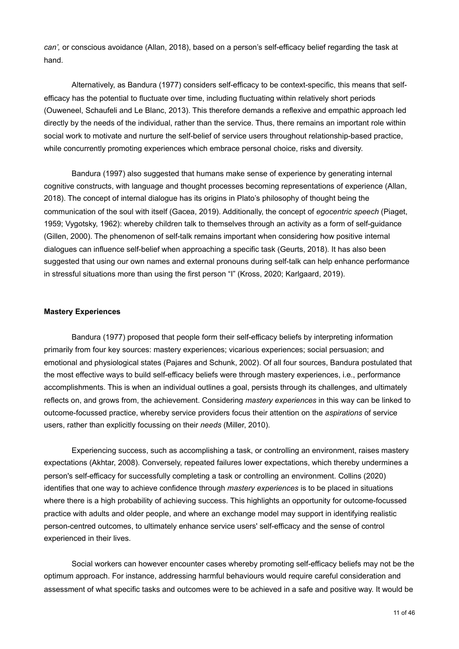*can',* or conscious avoidance (Allan, 2018), based on a person's self-efficacy belief regarding the task at hand.

 Alternatively, as Bandura (1977) considers self-efficacy to be context-specific, this means that selfefficacy has the potential to fluctuate over time, including fluctuating within relatively short periods (Ouweneel, Schaufeli and Le Blanc, 2013). This therefore demands a reflexive and empathic approach led directly by the needs of the individual, rather than the service. Thus, there remains an important role within social work to motivate and nurture the self-belief of service users throughout relationship-based practice, while concurrently promoting experiences which embrace personal choice, risks and diversity.

 Bandura (1997) also suggested that humans make sense of experience by generating internal cognitive constructs, with language and thought processes becoming representations of experience (Allan, 2018). The concept of internal dialogue has its origins in Plato's philosophy of thought being the communication of the soul with itself (Gacea, 2019). Additionally, the concept of *egocentric speech* (Piaget, 1959; Vygotsky, 1962): whereby children talk to themselves through an activity as a form of self-guidance (Gillen, 2000). The phenomenon of self-talk remains important when considering how positive internal dialogues can influence self-belief when approaching a specific task (Geurts, 2018). It has also been suggested that using our own names and external pronouns during self-talk can help enhance performance in stressful situations more than using the first person "I" (Kross, 2020; Karlgaard, 2019).

#### <span id="page-14-0"></span>**Mastery Experiences**

 Bandura (1977) proposed that people form their self-efficacy beliefs by interpreting information primarily from four key sources: mastery experiences; vicarious experiences; social persuasion; and emotional and physiological states (Pajares and Schunk, 2002). Of all four sources, Bandura postulated that the most effective ways to build self-efficacy beliefs were through mastery experiences, i.e., performance accomplishments. This is when an individual outlines a goal, persists through its challenges, and ultimately reflects on, and grows from, the achievement. Considering *mastery experiences* in this way can be linked to outcome-focussed practice, whereby service providers focus their attention on the *aspirations* of service users, rather than explicitly focussing on their *needs* (Miller, 2010).

 Experiencing success, such as accomplishing a task, or controlling an environment, raises mastery expectations (Akhtar, 2008). Conversely, repeated failures lower expectations, which thereby undermines a person's self-efficacy for successfully completing a task or controlling an environment. Collins (2020) identifies that one way to achieve confidence through *mastery experiences* is to be placed in situations where there is a high probability of achieving success. This highlights an opportunity for outcome-focussed practice with adults and older people, and where an exchange model may support in identifying realistic person-centred outcomes, to ultimately enhance service users' self-efficacy and the sense of control experienced in their lives.

 Social workers can however encounter cases whereby promoting self-efficacy beliefs may not be the optimum approach. For instance, addressing harmful behaviours would require careful consideration and assessment of what specific tasks and outcomes were to be achieved in a safe and positive way. It would be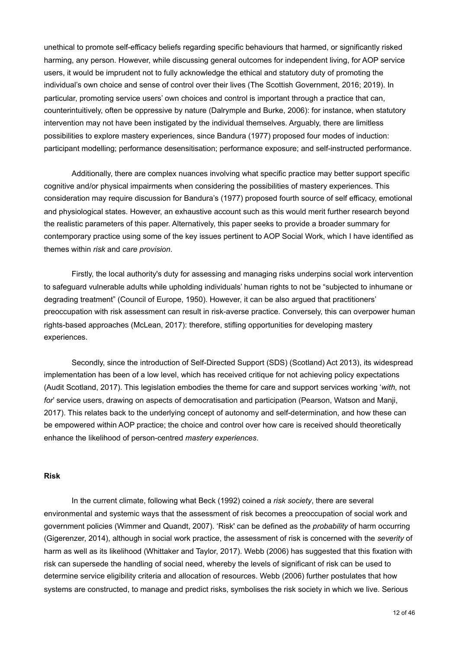unethical to promote self-efficacy beliefs regarding specific behaviours that harmed, or significantly risked harming, any person. However, while discussing general outcomes for independent living, for AOP service users, it would be imprudent not to fully acknowledge the ethical and statutory duty of promoting the individual's own choice and sense of control over their lives (The Scottish Government, 2016; 2019). In particular, promoting service users' own choices and control is important through a practice that can, counterintuitively, often be oppressive by nature (Dalrymple and Burke, 2006): for instance, when statutory intervention may not have been instigated by the individual themselves. Arguably, there are limitless possibilities to explore mastery experiences, since Bandura (1977) proposed four modes of induction: participant modelling; performance desensitisation; performance exposure; and self-instructed performance.

 Additionally, there are complex nuances involving what specific practice may better support specific cognitive and/or physical impairments when considering the possibilities of mastery experiences. This consideration may require discussion for Bandura's (1977) proposed fourth source of self efficacy, emotional and physiological states. However, an exhaustive account such as this would merit further research beyond the realistic parameters of this paper. Alternatively, this paper seeks to provide a broader summary for contemporary practice using some of the key issues pertinent to AOP Social Work, which I have identified as themes within *risk* and *care provision*.

 Firstly, the local authority's duty for assessing and managing risks underpins social work intervention to safeguard vulnerable adults while upholding individuals' human rights to not be "subjected to inhumane or degrading treatment" (Council of Europe, 1950). However, it can be also argued that practitioners' preoccupation with risk assessment can result in risk-averse practice. Conversely, this can overpower human rights-based approaches (McLean, 2017): therefore, stifling opportunities for developing mastery experiences.

 Secondly, since the introduction of Self-Directed Support (SDS) (Scotland) Act 2013), its widespread implementation has been of a low level, which has received critique for not achieving policy expectations (Audit Scotland, 2017). This legislation embodies the theme for care and support services working '*with,* not *for*' service users, drawing on aspects of democratisation and participation (Pearson, Watson and Manji, 2017). This relates back to the underlying concept of autonomy and self-determination, and how these can be empowered within AOP practice; the choice and control over how care is received should theoretically enhance the likelihood of person-centred *mastery experiences*.

#### <span id="page-15-0"></span>**Risk**

 In the current climate, following what Beck (1992) coined a *risk society*, there are several environmental and systemic ways that the assessment of risk becomes a preoccupation of social work and government policies (Wimmer and Quandt, 2007). 'Risk' can be defined as the *probability* of harm occurring (Gigerenzer, 2014), although in social work practice, the assessment of risk is concerned with the *severity* of harm as well as its likelihood (Whittaker and Taylor, 2017). Webb (2006) has suggested that this fixation with risk can supersede the handling of social need, whereby the levels of significant of risk can be used to determine service eligibility criteria and allocation of resources. Webb (2006) further postulates that how systems are constructed, to manage and predict risks, symbolises the risk society in which we live. Serious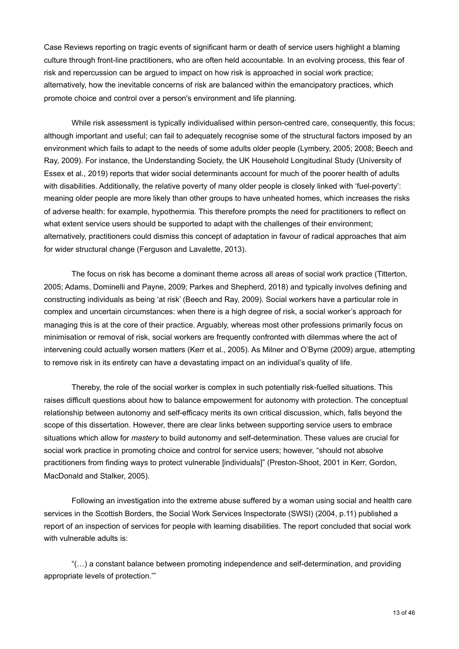Case Reviews reporting on tragic events of significant harm or death of service users highlight a blaming culture through front-line practitioners, who are often held accountable. In an evolving process, this fear of risk and repercussion can be argued to impact on how risk is approached in social work practice; alternatively, how the inevitable concerns of risk are balanced within the emancipatory practices, which promote choice and control over a person's environment and life planning.

While risk assessment is typically individualised within person-centred care, consequently, this focus; although important and useful; can fail to adequately recognise some of the structural factors imposed by an environment which fails to adapt to the needs of some adults older people (Lymbery, 2005; 2008; Beech and Ray, 2009). For instance, the Understanding Society, the UK Household Longitudinal Study (University of Essex et al., 2019) reports that wider social determinants account for much of the poorer health of adults with disabilities. Additionally, the relative poverty of many older people is closely linked with 'fuel-poverty': meaning older people are more likely than other groups to have unheated homes, which increases the risks of adverse health: for example, hypothermia. This therefore prompts the need for practitioners to reflect on what extent service users should be supported to adapt with the challenges of their environment; alternatively, practitioners could dismiss this concept of adaptation in favour of radical approaches that aim for wider structural change (Ferguson and Lavalette, 2013).

 The focus on risk has become a dominant theme across all areas of social work practice (Titterton, 2005; Adams, Dominelli and Payne, 2009; Parkes and Shepherd, 2018) and typically involves defining and constructing individuals as being 'at risk' (Beech and Ray, 2009). Social workers have a particular role in complex and uncertain circumstances: when there is a high degree of risk, a social worker's approach for managing this is at the core of their practice. Arguably, whereas most other professions primarily focus on minimisation or removal of risk, social workers are frequently confronted with dilemmas where the act of intervening could actually worsen matters (Kerr et al., 2005). As Milner and O'Byrne (2009) argue, attempting to remove risk in its entirety can have a devastating impact on an individual's quality of life.

 Thereby, the role of the social worker is complex in such potentially risk-fuelled situations. This raises difficult questions about how to balance empowerment for autonomy with protection. The conceptual relationship between autonomy and self-efficacy merits its own critical discussion, which, falls beyond the scope of this dissertation. However, there are clear links between supporting service users to embrace situations which allow for *mastery* to build autonomy and self-determination. These values are crucial for social work practice in promoting choice and control for service users; however, "should not absolve practitioners from finding ways to protect vulnerable [individuals]" (Preston-Shoot, 2001 in Kerr, Gordon, MacDonald and Stalker, 2005).

 Following an investigation into the extreme abuse suffered by a woman using social and health care services in the Scottish Borders, the Social Work Services Inspectorate (SWSI) (2004, p.11) published a report of an inspection of services for people with learning disabilities. The report concluded that social work with vulnerable adults is:

 "(…) a constant balance between promoting independence and self-determination, and providing appropriate levels of protection.'"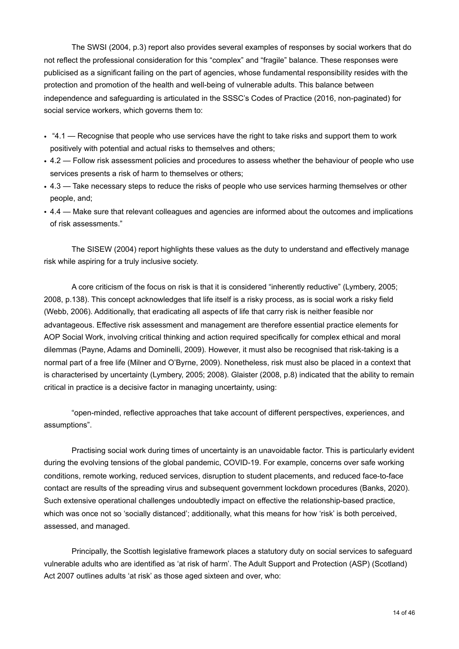The SWSI (2004, p.3) report also provides several examples of responses by social workers that do not reflect the professional consideration for this "complex" and "fragile" balance. These responses were publicised as a significant failing on the part of agencies, whose fundamental responsibility resides with the protection and promotion of the health and well-being of vulnerable adults. This balance between independence and safeguarding is articulated in the SSSC's Codes of Practice (2016, non-paginated) for social service workers, which governs them to:

- "4.1 Recognise that people who use services have the right to take risks and support them to work positively with potential and actual risks to themselves and others;
- 4.2 Follow risk assessment policies and procedures to assess whether the behaviour of people who use services presents a risk of harm to themselves or others;
- 4.3 Take necessary steps to reduce the risks of people who use services harming themselves or other people, and;
- 4.4 Make sure that relevant colleagues and agencies are informed about the outcomes and implications of risk assessments."

 The SISEW (2004) report highlights these values as the duty to understand and effectively manage risk while aspiring for a truly inclusive society.

 A core criticism of the focus on risk is that it is considered "inherently reductive" (Lymbery, 2005; 2008, p.138). This concept acknowledges that life itself is a risky process, as is social work a risky field (Webb, 2006). Additionally, that eradicating all aspects of life that carry risk is neither feasible nor advantageous. Effective risk assessment and management are therefore essential practice elements for AOP Social Work, involving critical thinking and action required specifically for complex ethical and moral dilemmas (Payne, Adams and Dominelli, 2009). However, it must also be recognised that risk-taking is a normal part of a free life (Milner and O'Byrne, 2009). Nonetheless, risk must also be placed in a context that is characterised by uncertainty (Lymbery, 2005; 2008). Glaister (2008, p.8) indicated that the ability to remain critical in practice is a decisive factor in managing uncertainty, using:

 "open-minded, reflective approaches that take account of different perspectives, experiences, and assumptions".

 Practising social work during times of uncertainty is an unavoidable factor. This is particularly evident during the evolving tensions of the global pandemic, COVID-19. For example, concerns over safe working conditions, remote working, reduced services, disruption to student placements, and reduced face-to-face contact are results of the spreading virus and subsequent government lockdown procedures (Banks, 2020). Such extensive operational challenges undoubtedly impact on effective the relationship-based practice, which was once not so 'socially distanced'; additionally, what this means for how 'risk' is both perceived, assessed, and managed.

 Principally, the Scottish legislative framework places a statutory duty on social services to safeguard vulnerable adults who are identified as 'at risk of harm'. The Adult Support and Protection (ASP) (Scotland) Act 2007 outlines adults 'at risk' as those aged sixteen and over, who: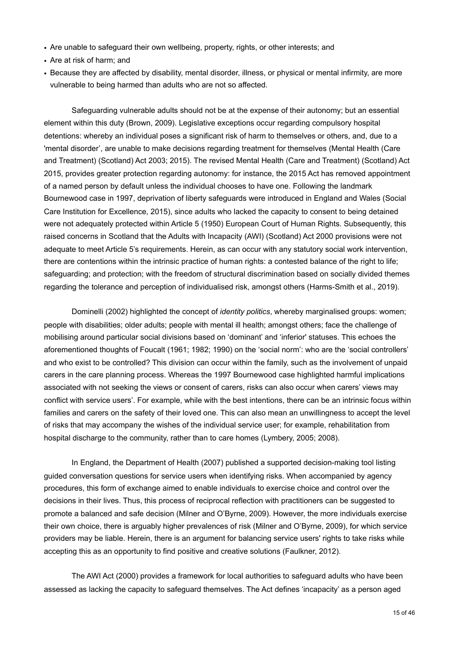- Are unable to safeguard their own wellbeing, property, rights, or other interests; and
- Are at risk of harm; and
- Because they are affected by disability, mental disorder, illness, or physical or mental infirmity, are more vulnerable to being harmed than adults who are not so affected.

 Safeguarding vulnerable adults should not be at the expense of their autonomy; but an essential element within this duty (Brown, 2009). Legislative exceptions occur regarding compulsory hospital detentions: whereby an individual poses a significant risk of harm to themselves or others, and, due to a 'mental disorder', are unable to make decisions regarding treatment for themselves (Mental Health (Care and Treatment) (Scotland) Act 2003; 2015). The revised Mental Health (Care and Treatment) (Scotland) Act 2015, provides greater protection regarding autonomy: for instance, the 2015 Act has removed appointment of a named person by default unless the individual chooses to have one. Following the landmark Bournewood case in 1997, deprivation of liberty safeguards were introduced in England and Wales (Social Care Institution for Excellence, 2015), since adults who lacked the capacity to consent to being detained were not adequately protected within Article 5 (1950) European Court of Human Rights. Subsequently, this raised concerns in Scotland that the Adults with Incapacity (AWI) (Scotland) Act 2000 provisions were not adequate to meet Article 5's requirements. Herein, as can occur with any statutory social work intervention, there are contentions within the intrinsic practice of human rights: a contested balance of the right to life; safeguarding; and protection; with the freedom of structural discrimination based on socially divided themes regarding the tolerance and perception of individualised risk, amongst others (Harms-Smith et al., 2019).

 Dominelli (2002) highlighted the concept of *identity politics*, whereby marginalised groups: women; people with disabilities; older adults; people with mental ill health; amongst others; face the challenge of mobilising around particular social divisions based on 'dominant' and 'inferior' statuses. This echoes the aforementioned thoughts of Foucalt (1961; 1982; 1990) on the 'social norm': who are the 'social controllers' and who exist to be controlled? This division can occur within the family, such as the involvement of unpaid carers in the care planning process. Whereas the 1997 Bournewood case highlighted harmful implications associated with not seeking the views or consent of carers, risks can also occur when carers' views may conflict with service users'. For example, while with the best intentions, there can be an intrinsic focus within families and carers on the safety of their loved one. This can also mean an unwillingness to accept the level of risks that may accompany the wishes of the individual service user; for example, rehabilitation from hospital discharge to the community, rather than to care homes (Lymbery, 2005; 2008).

 In England, the Department of Health (2007) published a supported decision-making tool listing guided conversation questions for service users when identifying risks. When accompanied by agency procedures, this form of exchange aimed to enable individuals to exercise choice and control over the decisions in their lives. Thus, this process of reciprocal reflection with practitioners can be suggested to promote a balanced and safe decision (Milner and O'Byrne, 2009). However, the more individuals exercise their own choice, there is arguably higher prevalences of risk (Milner and O'Byrne, 2009), for which service providers may be liable. Herein, there is an argument for balancing service users' rights to take risks while accepting this as an opportunity to find positive and creative solutions (Faulkner, 2012).

 The AWI Act (2000) provides a framework for local authorities to safeguard adults who have been assessed as lacking the capacity to safeguard themselves. The Act defines 'incapacity' as a person aged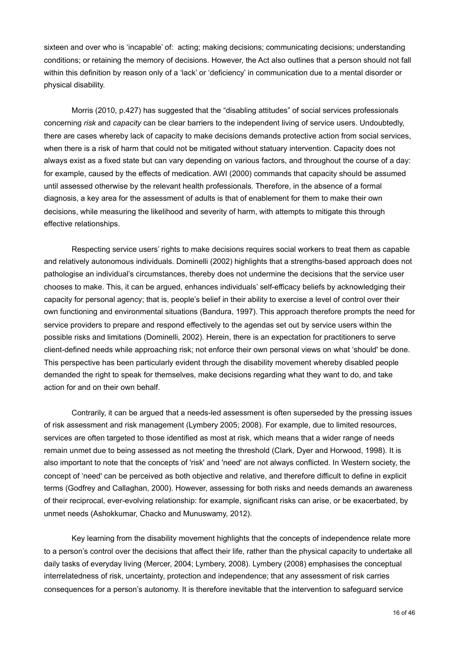sixteen and over who is 'incapable' of: acting; making decisions; communicating decisions; understanding conditions; or retaining the memory of decisions. However, the Act also outlines that a person should not fall within this definition by reason only of a 'lack' or 'deficiency' in communication due to a mental disorder or physical disability.

 Morris (2010, p.427) has suggested that the "disabling attitudes" of social services professionals concerning *risk* and *capacity* can be clear barriers to the independent living of service users. Undoubtedly, there are cases whereby lack of capacity to make decisions demands protective action from social services, when there is a risk of harm that could not be mitigated without statuary intervention. Capacity does not always exist as a fixed state but can vary depending on various factors, and throughout the course of a day: for example, caused by the effects of medication. AWI (2000) commands that capacity should be assumed until assessed otherwise by the relevant health professionals. Therefore, in the absence of a formal diagnosis, a key area for the assessment of adults is that of enablement for them to make their own decisions, while measuring the likelihood and severity of harm, with attempts to mitigate this through effective relationships.

 Respecting service users' rights to make decisions requires social workers to treat them as capable and relatively autonomous individuals. Dominelli (2002) highlights that a strengths-based approach does not pathologise an individual's circumstances, thereby does not undermine the decisions that the service user chooses to make. This, it can be argued, enhances individuals' self-efficacy beliefs by acknowledging their capacity for personal agency; that is, people's belief in their ability to exercise a level of control over their own functioning and environmental situations (Bandura, 1997). This approach therefore prompts the need for service providers to prepare and respond effectively to the agendas set out by service users within the possible risks and limitations (Dominelli, 2002). Herein, there is an expectation for practitioners to serve client-defined needs while approaching risk; not enforce their own personal views on what 'should' be done. This perspective has been particularly evident through the disability movement whereby disabled people demanded the right to speak for themselves, make decisions regarding what they want to do, and take action for and on their own behalf.

 Contrarily, it can be argued that a needs-led assessment is often superseded by the pressing issues of risk assessment and risk management (Lymbery 2005; 2008). For example, due to limited resources, services are often targeted to those identified as most at risk, which means that a wider range of needs remain unmet due to being assessed as not meeting the threshold (Clark, Dyer and Horwood, 1998). It is also important to note that the concepts of 'risk' and 'need' are not always conflicted. In Western society, the concept of 'need' can be perceived as both objective and relative, and therefore difficult to define in explicit terms (Godfrey and Callaghan, 2000). However, assessing for both risks and needs demands an awareness of their reciprocal, ever-evolving relationship: for example, significant risks can arise, or be exacerbated, by unmet needs (Ashokkumar, Chacko and Munuswamy, 2012).

 Key learning from the disability movement highlights that the concepts of independence relate more to a person's control over the decisions that affect their life, rather than the physical capacity to undertake all daily tasks of everyday living (Mercer, 2004; Lymbery, 2008). Lymbery (2008) emphasises the conceptual interrelatedness of risk, uncertainty, protection and independence; that any assessment of risk carries consequences for a person's autonomy. It is therefore inevitable that the intervention to safeguard service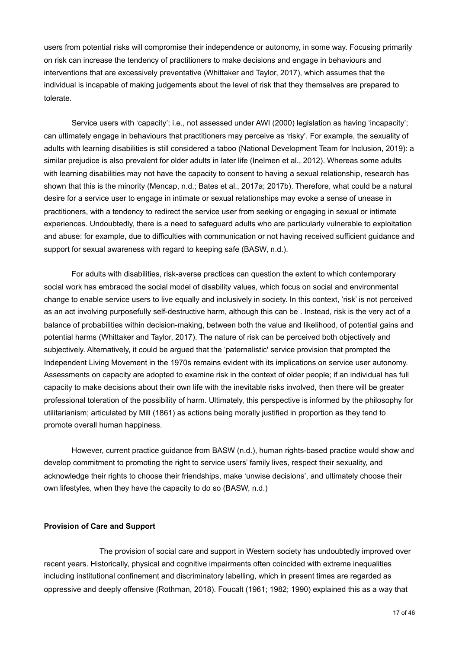users from potential risks will compromise their independence or autonomy, in some way. Focusing primarily on risk can increase the tendency of practitioners to make decisions and engage in behaviours and interventions that are excessively preventative (Whittaker and Taylor, 2017), which assumes that the individual is incapable of making judgements about the level of risk that they themselves are prepared to tolerate.

Service users with 'capacity'; i.e., not assessed under AWI (2000) legislation as having 'incapacity'; can ultimately engage in behaviours that practitioners may perceive as 'risky'. For example, the sexuality of adults with learning disabilities is still considered a taboo (National Development Team for Inclusion, 2019): a similar prejudice is also prevalent for older adults in later life (Inelmen et al., 2012). Whereas some adults with learning disabilities may not have the capacity to consent to having a sexual relationship, research has shown that this is the minority (Mencap, n.d.; Bates et al., 2017a; 2017b). Therefore, what could be a natural desire for a service user to engage in intimate or sexual relationships may evoke a sense of unease in practitioners, with a tendency to redirect the service user from seeking or engaging in sexual or intimate experiences. Undoubtedly, there is a need to safeguard adults who are particularly vulnerable to exploitation and abuse: for example, due to difficulties with communication or not having received sufficient guidance and support for sexual awareness with regard to keeping safe (BASW, n.d.).

 For adults with disabilities, risk-averse practices can question the extent to which contemporary social work has embraced the social model of disability values, which focus on social and environmental change to enable service users to live equally and inclusively in society. In this context, 'risk' is not perceived as an act involving purposefully self-destructive harm, although this can be . Instead, risk is the very act of a balance of probabilities within decision-making, between both the value and likelihood, of potential gains and potential harms (Whittaker and Taylor, 2017). The nature of risk can be perceived both objectively and subjectively. Alternatively, it could be argued that the 'paternalistic' service provision that prompted the Independent Living Movement in the 1970s remains evident with its implications on service user autonomy. Assessments on capacity are adopted to examine risk in the context of older people; if an individual has full capacity to make decisions about their own life with the inevitable risks involved, then there will be greater professional toleration of the possibility of harm. Ultimately, this perspective is informed by the philosophy for utilitarianism; articulated by Mill (1861) as actions being morally justified in proportion as they tend to promote overall human happiness.

 However, current practice guidance from BASW (n.d.), human rights-based practice would show and develop commitment to promoting the right to service users' family lives, respect their sexuality, and acknowledge their rights to choose their friendships, make 'unwise decisions', and ultimately choose their own lifestyles, when they have the capacity to do so (BASW, n.d.)

#### <span id="page-20-0"></span>**Provision of Care and Support**

 The provision of social care and support in Western society has undoubtedly improved over recent years. Historically, physical and cognitive impairments often coincided with extreme inequalities including institutional confinement and discriminatory labelling, which in present times are regarded as oppressive and deeply offensive (Rothman, 2018). Foucalt (1961; 1982; 1990) explained this as a way that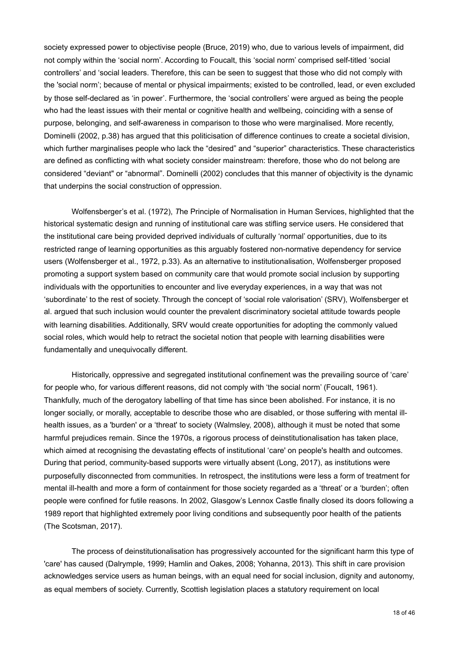society expressed power to objectivise people (Bruce, 2019) who, due to various levels of impairment, did not comply within the 'social norm'. According to Foucalt, this 'social norm' comprised self-titled 'social controllers' and 'social leaders. Therefore, this can be seen to suggest that those who did not comply with the 'social norm'; because of mental or physical impairments; existed to be controlled, lead, or even excluded by those self-declared as 'in power'. Furthermore, the 'social controllers' were argued as being the people who had the least issues with their mental or cognitive health and wellbeing, coinciding with a sense of purpose, belonging, and self-awareness in comparison to those who were marginalised. More recently, Dominelli (2002, p.38) has argued that this politicisation of difference continues to create a societal division, which further marginalises people who lack the "desired" and "superior" characteristics. These characteristics are defined as conflicting with what society consider mainstream: therefore, those who do not belong are considered "deviant" or "abnormal". Dominelli (2002) concludes that this manner of objectivity is the dynamic that underpins the social construction of oppression.

 Wolfensberger's et al. (1972), *T*he Principle of Normalisation in Human Services, highlighted that the historical systematic design and running of institutional care was stifling service users. He considered that the institutional care being provided deprived individuals of culturally 'normal' opportunities, due to its restricted range of learning opportunities as this arguably fostered non-normative dependency for service users (Wolfensberger et al., 1972, p.33). As an alternative to institutionalisation, Wolfensberger proposed promoting a support system based on community care that would promote social inclusion by supporting individuals with the opportunities to encounter and live everyday experiences, in a way that was not 'subordinate' to the rest of society. Through the concept of 'social role valorisation' (SRV), Wolfensberger et al. argued that such inclusion would counter the prevalent discriminatory societal attitude towards people with learning disabilities. Additionally, SRV would create opportunities for adopting the commonly valued social roles, which would help to retract the societal notion that people with learning disabilities were fundamentally and unequivocally different.

 Historically, oppressive and segregated institutional confinement was the prevailing source of 'care' for people who, for various different reasons, did not comply with 'the social norm' (Foucalt, 1961). Thankfully, much of the derogatory labelling of that time has since been abolished. For instance, it is no longer socially, or morally, acceptable to describe those who are disabled, or those suffering with mental illhealth issues, as a 'burden' or a 'threat' to society (Walmsley, 2008), although it must be noted that some harmful prejudices remain. Since the 1970s, a rigorous process of deinstitutionalisation has taken place, which aimed at recognising the devastating effects of institutional 'care' on people's health and outcomes. During that period, community-based supports were virtually absent (Long, 2017), as institutions were purposefully disconnected from communities. In retrospect, the institutions were less a form of treatment for mental ill-health and more a form of containment for those society regarded as a 'threat' or a 'burden'; often people were confined for futile reasons. In 2002, Glasgow's Lennox Castle finally closed its doors following a 1989 report that highlighted extremely poor living conditions and subsequently poor health of the patients (The Scotsman, 2017).

 The process of deinstitutionalisation has progressively accounted for the significant harm this type of 'care' has caused (Dalrymple, 1999; Hamlin and Oakes, 2008; Yohanna, 2013). This shift in care provision acknowledges service users as human beings, with an equal need for social inclusion, dignity and autonomy, as equal members of society. Currently, Scottish legislation places a statutory requirement on local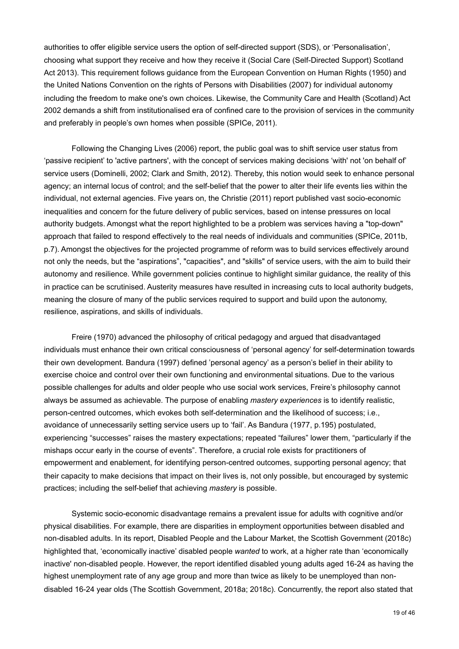authorities to offer eligible service users the option of self-directed support (SDS), or 'Personalisation', choosing what support they receive and how they receive it (Social Care (Self-Directed Support) Scotland Act 2013). This requirement follows guidance from the European Convention on Human Rights (1950) and the United Nations Convention on the rights of Persons with Disabilities (2007) for individual autonomy including the freedom to make one's own choices. Likewise, the Community Care and Health (Scotland) Act 2002 demands a shift from institutionalised era of confined care to the provision of services in the community and preferably in people's own homes when possible (SPICe, 2011).

 Following the Changing Lives (2006) report, the public goal was to shift service user status from 'passive recipient' to 'active partners', with the concept of services making decisions 'with' not 'on behalf of' service users (Dominelli, 2002; Clark and Smith, 2012)*.* Thereby, this notion would seek to enhance personal agency; an internal locus of control; and the self-belief that the power to alter their life events lies within the individual, not external agencies. Five years on, the Christie (2011) report published vast socio-economic inequalities and concern for the future delivery of public services, based on intense pressures on local authority budgets. Amongst what the report highlighted to be a problem was services having a "top-down" approach that failed to respond effectively to the real needs of individuals and communities (SPICe, 2011b, p.7). Amongst the objectives for the projected programme of reform was to build services effectively around not only the needs, but the "aspirations", "capacities", and "skills" of service users, with the aim to build their autonomy and resilience. While government policies continue to highlight similar guidance, the reality of this in practice can be scrutinised. Austerity measures have resulted in increasing cuts to local authority budgets, meaning the closure of many of the public services required to support and build upon the autonomy, resilience, aspirations, and skills of individuals.

 Freire (1970) advanced the philosophy of critical pedagogy and argued that disadvantaged individuals must enhance their own critical consciousness of 'personal agency' for self-determination towards their own development. Bandura (1997) defined 'personal agency' as a person's belief in their ability to exercise choice and control over their own functioning and environmental situations. Due to the various possible challenges for adults and older people who use social work services, Freire's philosophy cannot always be assumed as achievable. The purpose of enabling *mastery experiences* is to identify realistic, person-centred outcomes, which evokes both self-determination and the likelihood of success; i.e., avoidance of unnecessarily setting service users up to 'fail'. As Bandura (1977, p.195) postulated, experiencing "successes" raises the mastery expectations; repeated "failures" lower them, "particularly if the mishaps occur early in the course of events". Therefore, a crucial role exists for practitioners of empowerment and enablement, for identifying person-centred outcomes, supporting personal agency; that their capacity to make decisions that impact on their lives is, not only possible, but encouraged by systemic practices; including the self-belief that achieving *mastery* is possible.

 Systemic socio-economic disadvantage remains a prevalent issue for adults with cognitive and/or physical disabilities. For example, there are disparities in employment opportunities between disabled and non-disabled adults. In its report, Disabled People and the Labour Market, the Scottish Government (2018c) highlighted that, 'economically inactive' disabled people *wanted* to work, at a higher rate than 'economically inactive' non-disabled people. However, the report identified disabled young adults aged 16-24 as having the highest unemployment rate of any age group and more than twice as likely to be unemployed than nondisabled 16-24 year olds (The Scottish Government, 2018a; 2018c). Concurrently, the report also stated that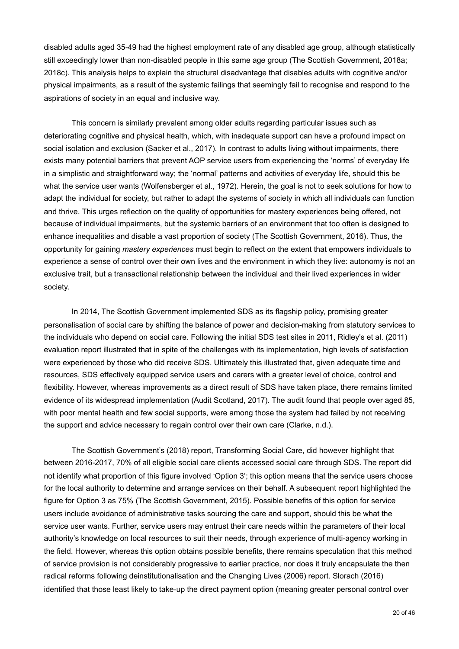disabled adults aged 35-49 had the highest employment rate of any disabled age group, although statistically still exceedingly lower than non-disabled people in this same age group (The Scottish Government, 2018a; 2018c). This analysis helps to explain the structural disadvantage that disables adults with cognitive and/or physical impairments, as a result of the systemic failings that seemingly fail to recognise and respond to the aspirations of society in an equal and inclusive way.

 This concern is similarly prevalent among older adults regarding particular issues such as deteriorating cognitive and physical health, which, with inadequate support can have a profound impact on social isolation and exclusion (Sacker et al., 2017). In contrast to adults living without impairments, there exists many potential barriers that prevent AOP service users from experiencing the 'norms' of everyday life in a simplistic and straightforward way; the 'normal' patterns and activities of everyday life, should this be what the service user wants (Wolfensberger et al., 1972). Herein, the goal is not to seek solutions for how to adapt the individual for society, but rather to adapt the systems of society in which all individuals can function and thrive. This urges reflection on the quality of opportunities for mastery experiences being offered, not because of individual impairments, but the systemic barriers of an environment that too often is designed to enhance inequalities and disable a vast proportion of society (The Scottish Government, 2016). Thus, the opportunity for gaining *mastery experiences* must begin to reflect on the extent that empowers individuals to experience a sense of control over their own lives and the environment in which they live: autonomy is not an exclusive trait, but a transactional relationship between the individual and their lived experiences in wider society.

 In 2014, The Scottish Government implemented SDS as its flagship policy, promising greater personalisation of social care by shifting the balance of power and decision-making from statutory services to the individuals who depend on social care. Following the initial SDS test sites in 2011, Ridley's et al. (2011) evaluation report illustrated that in spite of the challenges with its implementation, high levels of satisfaction were experienced by those who did receive SDS. Ultimately this illustrated that, given adequate time and resources, SDS effectively equipped service users and carers with a greater level of choice, control and flexibility. However, whereas improvements as a direct result of SDS have taken place, there remains limited evidence of its widespread implementation (Audit Scotland, 2017). The audit found that people over aged 85, with poor mental health and few social supports, were among those the system had failed by not receiving the support and advice necessary to regain control over their own care (Clarke, n.d.).

 The Scottish Government's (2018) report, Transforming Social Care, did however highlight that between 2016-2017, 70% of all eligible social care clients accessed social care through SDS. The report did not identify what proportion of this figure involved 'Option 3'; this option means that the service users choose for the local authority to determine and arrange services on their behalf. A subsequent report highlighted the figure for Option 3 as 75% (The Scottish Government, 2015). Possible benefits of this option for service users include avoidance of administrative tasks sourcing the care and support, should this be what the service user wants. Further, service users may entrust their care needs within the parameters of their local authority's knowledge on local resources to suit their needs, through experience of multi-agency working in the field. However, whereas this option obtains possible benefits, there remains speculation that this method of service provision is not considerably progressive to earlier practice, nor does it truly encapsulate the then radical reforms following deinstitutionalisation and the Changing Lives (2006) report. Slorach (2016) identified that those least likely to take-up the direct payment option (meaning greater personal control over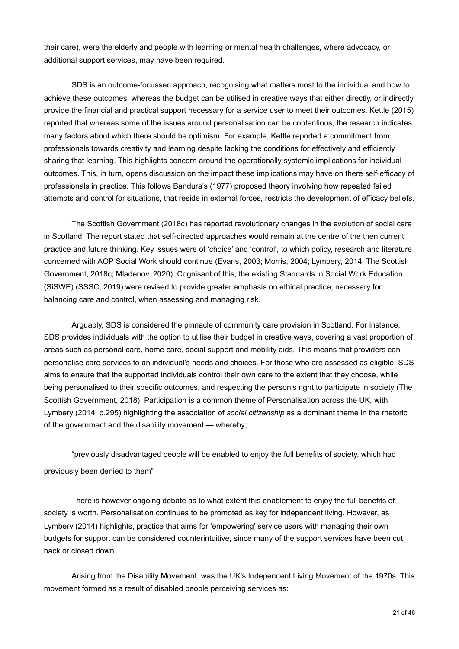their care), were the elderly and people with learning or mental health challenges, where advocacy, or additional support services, may have been required.

 SDS is an outcome-focussed approach, recognising what matters most to the individual and how to achieve these outcomes, whereas the budget can be utilised in creative ways that either directly, or indirectly, provide the financial and practical support necessary for a service user to meet their outcomes. Kettle (2015) reported that whereas some of the issues around personalisation can be contentious, the research indicates many factors about which there should be optimism. For example, Kettle reported a commitment from professionals towards creativity and learning despite lacking the conditions for effectively and efficiently sharing that learning. This highlights concern around the operationally systemic implications for individual outcomes. This, in turn, opens discussion on the impact these implications may have on there self-efficacy of professionals in practice. This follows Bandura's (1977) proposed theory involving how repeated failed attempts and control for situations, that reside in external forces, restricts the development of efficacy beliefs.

 The Scottish Government (2018c) has reported revolutionary changes in the evolution of social care in Scotland. The report stated that self-directed approaches would remain at the centre of the then current practice and future thinking. Key issues were of 'choice' and 'control', to which policy, research and literature concerned with AOP Social Work should continue (Evans, 2003; Morris, 2004; Lymbery, 2014; The Scottish Government, 2018c; Mladenov, 2020). Cognisant of this, the existing Standards in Social Work Education (SiSWE) (SSSC, 2019) were revised to provide greater emphasis on ethical practice, necessary for balancing care and control, when assessing and managing risk.

 Arguably, SDS is considered the pinnacle of community care provision in Scotland. For instance, SDS provides individuals with the option to utilise their budget in creative ways, covering a vast proportion of areas such as personal care, home care, social support and mobility aids. This means that providers can personalise care services to an individual's needs and choices. For those who are assessed as eligible, SDS aims to ensure that the supported individuals control their own care to the extent that they choose, while being personalised to their specific outcomes, and respecting the person's right to participate in society (The Scottish Government, 2018). Participation is a common theme of Personalisation across the UK, with Lymbery (2014, p.295) highlighting the association of *social citizenship* as a dominant theme in the rhetoric of the government and the disability movement — whereby;

 "previously disadvantaged people will be enabled to enjoy the full benefits of society, which had previously been denied to them"

 There is however ongoing debate as to what extent this enablement to enjoy the full benefits of society is worth. Personalisation continues to be promoted as key for independent living. However, as Lymbery (2014) highlights, practice that aims for 'empowering' service users with managing their own budgets for support can be considered counterintuitive, since many of the support services have been cut back or closed down.

 Arising from the Disability Movement, was the UK's Independent Living Movement of the 1970s. This movement formed as a result of disabled people perceiving services as: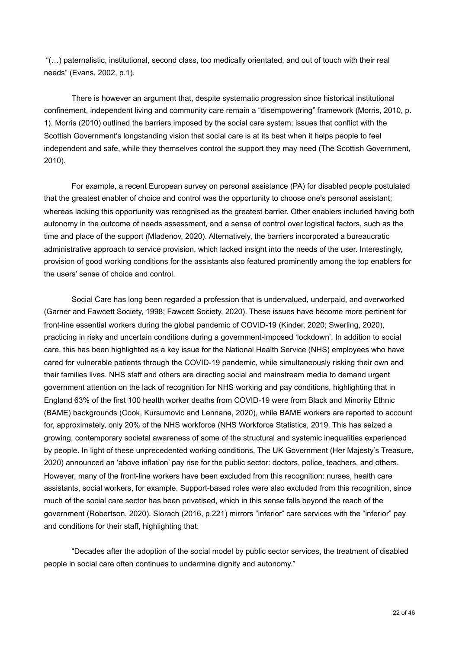"(…) paternalistic, institutional, second class, too medically orientated, and out of touch with their real needs" (Evans, 2002, p.1).

 There is however an argument that, despite systematic progression since historical institutional confinement, independent living and community care remain a "disempowering" framework (Morris, 2010, p. 1). Morris (2010) outlined the barriers imposed by the social care system; issues that conflict with the Scottish Government's longstanding vision that social care is at its best when it helps people to feel independent and safe, while they themselves control the support they may need (The Scottish Government, 2010).

 For example, a recent European survey on personal assistance (PA) for disabled people postulated that the greatest enabler of choice and control was the opportunity to choose one's personal assistant; whereas lacking this opportunity was recognised as the greatest barrier. Other enablers included having both autonomy in the outcome of needs assessment, and a sense of control over logistical factors, such as the time and place of the support (Mladenov, 2020). Alternatively, the barriers incorporated a bureaucratic administrative approach to service provision, which lacked insight into the needs of the user. Interestingly, provision of good working conditions for the assistants also featured prominently among the top enablers for the users' sense of choice and control.

 Social Care has long been regarded a profession that is undervalued, underpaid, and overworked (Garner and Fawcett Society, 1998; Fawcett Society, 2020). These issues have become more pertinent for front-line essential workers during the global pandemic of COVID-19 (Kinder, 2020; Swerling, 2020), practicing in risky and uncertain conditions during a government-imposed 'lockdown'. In addition to social care, this has been highlighted as a key issue for the National Health Service (NHS) employees who have cared for vulnerable patients through the COVID-19 pandemic, while simultaneously risking their own and their families lives. NHS staff and others are directing social and mainstream media to demand urgent government attention on the lack of recognition for NHS working and pay conditions, highlighting that in England 63% of the first 100 health worker deaths from COVID-19 were from Black and Minority Ethnic (BAME) backgrounds (Cook, Kursumovic and Lennane, 2020), while BAME workers are reported to account for, approximately, only 20% of the NHS workforce (NHS Workforce Statistics, 2019. This has seized a growing, contemporary societal awareness of some of the structural and systemic inequalities experienced by people. In light of these unprecedented working conditions, The UK Government (Her Majesty's Treasure, 2020) announced an 'above inflation' pay rise for the public sector: doctors, police, teachers, and others. However, many of the front-line workers have been excluded from this recognition: nurses, health care assistants, social workers, for example. Support-based roles were also excluded from this recognition, since much of the social care sector has been privatised, which in this sense falls beyond the reach of the government (Robertson, 2020). Slorach (2016, p.221) mirrors "inferior" care services with the "inferior" pay and conditions for their staff, highlighting that:

 "Decades after the adoption of the social model by public sector services, the treatment of disabled people in social care often continues to undermine dignity and autonomy."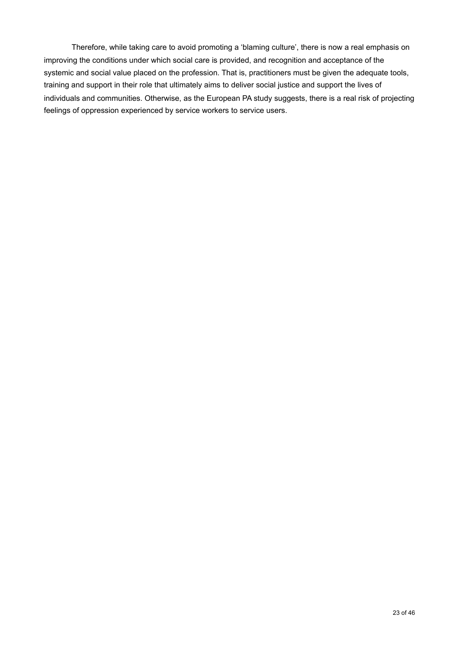Therefore, while taking care to avoid promoting a 'blaming culture', there is now a real emphasis on improving the conditions under which social care is provided, and recognition and acceptance of the systemic and social value placed on the profession. That is, practitioners must be given the adequate tools, training and support in their role that ultimately aims to deliver social justice and support the lives of individuals and communities. Otherwise, as the European PA study suggests, there is a real risk of projecting feelings of oppression experienced by service workers to service users.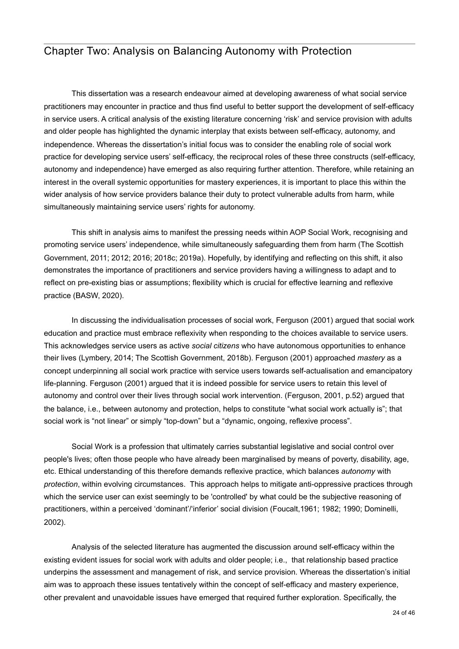# <span id="page-27-0"></span>Chapter Two: Analysis on Balancing Autonomy with Protection

 This dissertation was a research endeavour aimed at developing awareness of what social service practitioners may encounter in practice and thus find useful to better support the development of self-efficacy in service users. A critical analysis of the existing literature concerning 'risk' and service provision with adults and older people has highlighted the dynamic interplay that exists between self-efficacy, autonomy, and independence. Whereas the dissertation's initial focus was to consider the enabling role of social work practice for developing service users' self-efficacy, the reciprocal roles of these three constructs (self-efficacy, autonomy and independence) have emerged as also requiring further attention. Therefore, while retaining an interest in the overall systemic opportunities for mastery experiences, it is important to place this within the wider analysis of how service providers balance their duty to protect vulnerable adults from harm, while simultaneously maintaining service users' rights for autonomy.

 This shift in analysis aims to manifest the pressing needs within AOP Social Work, recognising and promoting service users' independence, while simultaneously safeguarding them from harm (The Scottish Government, 2011; 2012; 2016; 2018c; 2019a). Hopefully, by identifying and reflecting on this shift, it also demonstrates the importance of practitioners and service providers having a willingness to adapt and to reflect on pre-existing bias or assumptions; flexibility which is crucial for effective learning and reflexive practice (BASW, 2020).

 In discussing the individualisation processes of social work, Ferguson (2001) argued that social work education and practice must embrace reflexivity when responding to the choices available to service users. This acknowledges service users as active *social citizens* who have autonomous opportunities to enhance their lives (Lymbery, 2014; The Scottish Government, 2018b). Ferguson (2001) approached *mastery* as a concept underpinning all social work practice with service users towards self-actualisation and emancipatory life-planning. Ferguson (2001) argued that it is indeed possible for service users to retain this level of autonomy and control over their lives through social work intervention. (Ferguson, 2001, p.52) argued that the balance, i.e., between autonomy and protection, helps to constitute "what social work actually is"; that social work is "not linear" or simply "top-down" but a "dynamic, ongoing, reflexive process".

 Social Work is a profession that ultimately carries substantial legislative and social control over people's lives; often those people who have already been marginalised by means of poverty, disability, age, etc. Ethical understanding of this therefore demands reflexive practice, which balances *autonomy* with *protection*, within evolving circumstances. This approach helps to mitigate anti-oppressive practices through which the service user can exist seemingly to be 'controlled' by what could be the subjective reasoning of practitioners, within a perceived 'dominant'/'inferior' social division (Foucalt,1961; 1982; 1990; Dominelli, 2002).

 Analysis of the selected literature has augmented the discussion around self-efficacy within the existing evident issues for social work with adults and older people; i.e., that relationship based practice underpins the assessment and management of risk, and service provision. Whereas the dissertation's initial aim was to approach these issues tentatively within the concept of self-efficacy and mastery experience, other prevalent and unavoidable issues have emerged that required further exploration. Specifically, the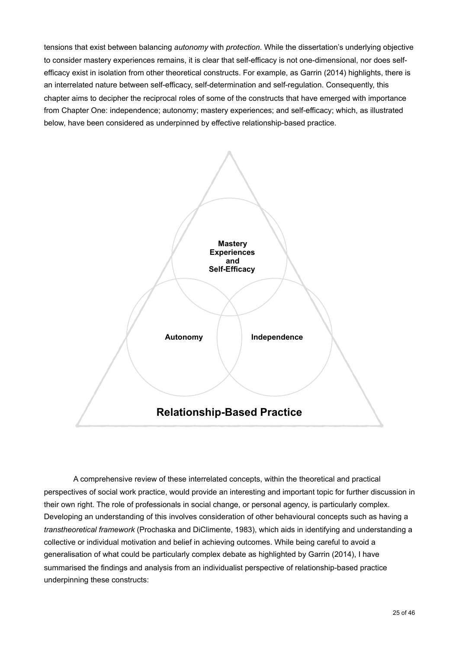tensions that exist between balancing *autonomy* with *protection*. While the dissertation's underlying objective to consider mastery experiences remains, it is clear that self-efficacy is not one-dimensional, nor does selfefficacy exist in isolation from other theoretical constructs. For example, as Garrin (2014) highlights, there is an interrelated nature between self-efficacy, self-determination and self-regulation. Consequently, this chapter aims to decipher the reciprocal roles of some of the constructs that have emerged with importance from Chapter One: independence; autonomy; mastery experiences; and self-efficacy; which, as illustrated below, have been considered as underpinned by effective relationship-based practice.



 A comprehensive review of these interrelated concepts, within the theoretical and practical perspectives of social work practice, would provide an interesting and important topic for further discussion in their own right. The role of professionals in social change, or personal agency, is particularly complex. Developing an understanding of this involves consideration of other behavioural concepts such as having a *transtheoretical framework* (Prochaska and DiClimente, 1983), which aids in identifying and understanding a collective or individual motivation and belief in achieving outcomes. While being careful to avoid a generalisation of what could be particularly complex debate as highlighted by Garrin (2014), I have summarised the findings and analysis from an individualist perspective of relationship-based practice underpinning these constructs: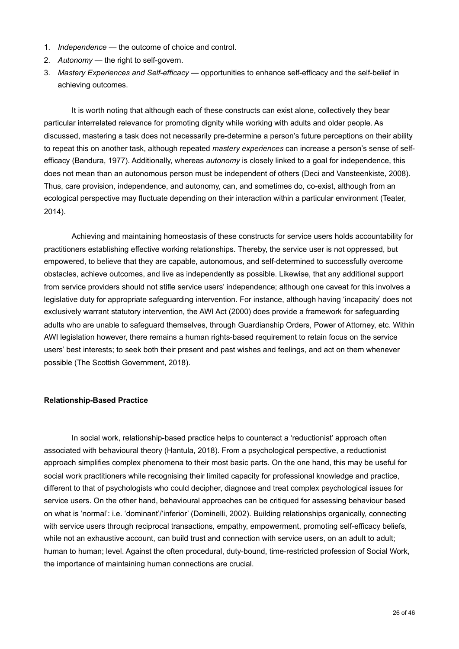- 1. *Independence* the outcome of choice and control.
- 2. *Autonomy* the right to self-govern.
- 3. *Mastery Experiences and Self-efficacy*  opportunities to enhance self-efficacy and the self-belief in achieving outcomes.

 It is worth noting that although each of these constructs can exist alone, collectively they bear particular interrelated relevance for promoting dignity while working with adults and older people. As discussed, mastering a task does not necessarily pre-determine a person's future perceptions on their ability to repeat this on another task, although repeated *mastery experiences* can increase a person's sense of selfefficacy (Bandura, 1977). Additionally, whereas *autonomy* is closely linked to a goal for independence, this does not mean than an autonomous person must be independent of others (Deci and Vansteenkiste, 2008). Thus, care provision, independence, and autonomy, can, and sometimes do, co-exist, although from an ecological perspective may fluctuate depending on their interaction within a particular environment (Teater, 2014).

 Achieving and maintaining homeostasis of these constructs for service users holds accountability for practitioners establishing effective working relationships. Thereby, the service user is not oppressed, but empowered, to believe that they are capable, autonomous, and self-determined to successfully overcome obstacles, achieve outcomes, and live as independently as possible. Likewise, that any additional support from service providers should not stifle service users' independence; although one caveat for this involves a legislative duty for appropriate safeguarding intervention. For instance, although having 'incapacity' does not exclusively warrant statutory intervention, the AWI Act (2000) does provide a framework for safeguarding adults who are unable to safeguard themselves, through Guardianship Orders, Power of Attorney, etc. Within AWI legislation however, there remains a human rights-based requirement to retain focus on the service users' best interests; to seek both their present and past wishes and feelings, and act on them whenever possible (The Scottish Government, 2018).

#### <span id="page-29-0"></span>**Relationship-Based Practice**

 In social work, relationship-based practice helps to counteract a 'reductionist' approach often associated with behavioural theory (Hantula, 2018). From a psychological perspective, a reductionist approach simplifies complex phenomena to their most basic parts. On the one hand, this may be useful for social work practitioners while recognising their limited capacity for professional knowledge and practice, different to that of psychologists who could decipher, diagnose and treat complex psychological issues for service users. On the other hand, behavioural approaches can be critiqued for assessing behaviour based on what is 'normal': i.e. 'dominant'/'inferior' (Dominelli, 2002). Building relationships organically, connecting with service users through reciprocal transactions, empathy, empowerment, promoting self-efficacy beliefs, while not an exhaustive account, can build trust and connection with service users, on an adult to adult; human to human; level. Against the often procedural, duty-bound, time-restricted profession of Social Work, the importance of maintaining human connections are crucial.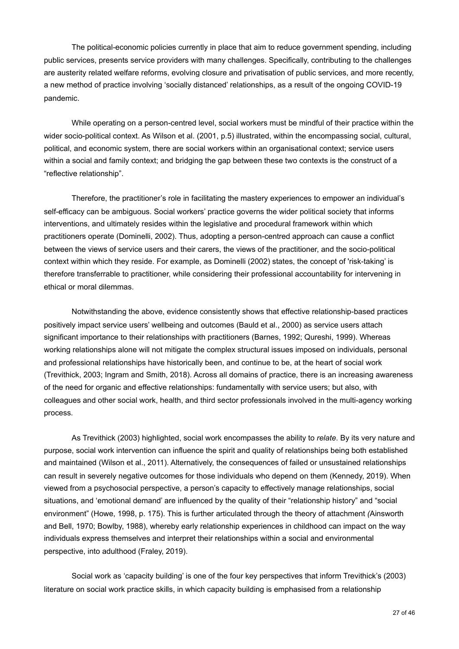The political-economic policies currently in place that aim to reduce government spending, including public services, presents service providers with many challenges. Specifically, contributing to the challenges are austerity related welfare reforms, evolving closure and privatisation of public services, and more recently, a new method of practice involving 'socially distanced' relationships, as a result of the ongoing COVID-19 pandemic.

 While operating on a person-centred level, social workers must be mindful of their practice within the wider socio-political context. As Wilson et al. (2001, p.5) illustrated, within the encompassing social, cultural, political, and economic system, there are social workers within an organisational context; service users within a social and family context; and bridging the gap between these two contexts is the construct of a "reflective relationship".

 Therefore, the practitioner's role in facilitating the mastery experiences to empower an individual's self-efficacy can be ambiguous. Social workers' practice governs the wider political society that informs interventions, and ultimately resides within the legislative and procedural framework within which practitioners operate (Dominelli, 2002). Thus, adopting a person-centred approach can cause a conflict between the views of service users and their carers, the views of the practitioner, and the socio-political context within which they reside. For example, as Dominelli (2002) states, the concept of 'risk-taking' is therefore transferrable to practitioner, while considering their professional accountability for intervening in ethical or moral dilemmas.

 Notwithstanding the above, evidence consistently shows that effective relationship-based practices positively impact service users' wellbeing and outcomes (Bauld et al., 2000) as service users attach significant importance to their relationships with practitioners (Barnes, 1992; Qureshi, 1999). Whereas working relationships alone will not mitigate the complex structural issues imposed on individuals, personal and professional relationships have historically been, and continue to be, at the heart of social work (Trevithick, 2003; Ingram and Smith, 2018). Across all domains of practice, there is an increasing awareness of the need for organic and effective relationships: fundamentally with service users; but also, with colleagues and other social work, health, and third sector professionals involved in the multi-agency working process.

 As Trevithick (2003) highlighted, social work encompasses the ability to *relate*. By its very nature and purpose, social work intervention can influence the spirit and quality of relationships being both established and maintained (Wilson et al., 2011). Alternatively, the consequences of failed or unsustained relationships can result in severely negative outcomes for those individuals who depend on them (Kennedy, 2019). When viewed from a psychosocial perspective, a person's capacity to effectively manage relationships, social situations, and 'emotional demand' are influenced by the quality of their "relationship history" and "social environment" (Howe, 1998, p. 175). This is further articulated through the theory of attachment *(*Ainsworth and Bell, 1970; Bowlby, 1988), whereby early relationship experiences in childhood can impact on the way individuals express themselves and interpret their relationships within a social and environmental perspective, into adulthood (Fraley, 2019).

 Social work as 'capacity building' is one of the four key perspectives that inform Trevithick's (2003) literature on social work practice skills, in which capacity building is emphasised from a relationship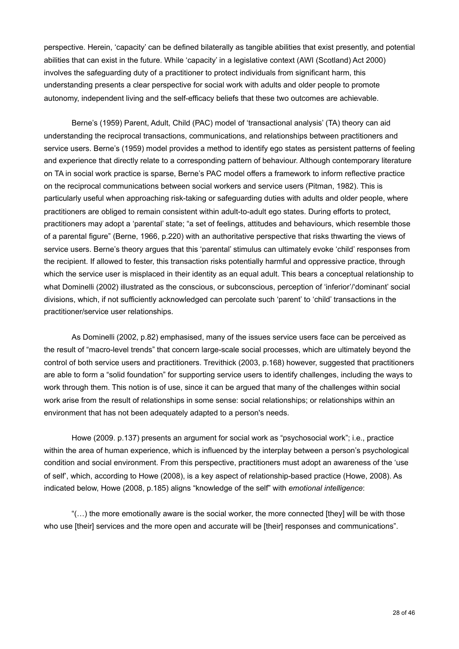perspective. Herein, 'capacity' can be defined bilaterally as tangible abilities that exist presently, and potential abilities that can exist in the future. While 'capacity' in a legislative context (AWI (Scotland) Act 2000) involves the safeguarding duty of a practitioner to protect individuals from significant harm, this understanding presents a clear perspective for social work with adults and older people to promote autonomy, independent living and the self-efficacy beliefs that these two outcomes are achievable.

 Berne's (1959) Parent, Adult, Child (PAC) model of 'transactional analysis' (TA) theory can aid understanding the reciprocal transactions, communications, and relationships between practitioners and service users. Berne's (1959) model provides a method to identify ego states as persistent patterns of feeling and experience that directly relate to a corresponding pattern of behaviour. Although contemporary literature on TA in social work practice is sparse, Berne's PAC model offers a framework to inform reflective practice on the reciprocal communications between social workers and service users (Pitman, 1982). This is particularly useful when approaching risk-taking or safeguarding duties with adults and older people, where practitioners are obliged to remain consistent within adult-to-adult ego states. During efforts to protect, practitioners may adopt a 'parental' state; "a set of feelings, attitudes and behaviours, which resemble those of a parental figure" (Berne, 1966, p.220) with an authoritative perspective that risks thwarting the views of service users. Berne's theory argues that this 'parental' stimulus can ultimately evoke 'child' responses from the recipient. If allowed to fester, this transaction risks potentially harmful and oppressive practice, through which the service user is misplaced in their identity as an equal adult. This bears a conceptual relationship to what Dominelli (2002) illustrated as the conscious, or subconscious, perception of 'inferior'/'dominant' social divisions, which, if not sufficiently acknowledged can percolate such 'parent' to 'child' transactions in the practitioner/service user relationships.

As Dominelli (2002, p.82) emphasised, many of the issues service users face can be perceived as the result of "macro-level trends" that concern large-scale social processes, which are ultimately beyond the control of both service users and practitioners. Trevithick (2003, p.168) however, suggested that practitioners are able to form a "solid foundation" for supporting service users to identify challenges, including the ways to work through them. This notion is of use, since it can be argued that many of the challenges within social work arise from the result of relationships in some sense: social relationships; or relationships within an environment that has not been adequately adapted to a person's needs.

 Howe (2009. p.137) presents an argument for social work as "psychosocial work"; i.e., practice within the area of human experience, which is influenced by the interplay between a person's psychological condition and social environment. From this perspective, practitioners must adopt an awareness of the 'use of self', which, according to Howe (2008), is a key aspect of relationship-based practice (Howe, 2008). As indicated below, Howe (2008, p.185) aligns "knowledge of the self" with *emotional intelligence*:

" $(...)$  the more emotionally aware is the social worker, the more connected [they] will be with those who use [their] services and the more open and accurate will be [their] responses and communications".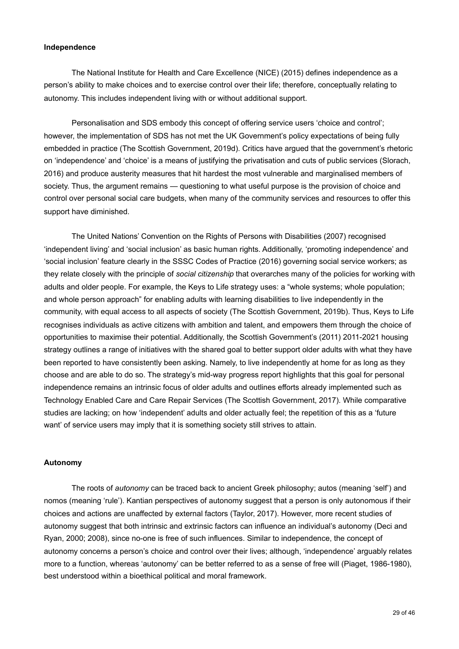#### <span id="page-32-0"></span>**Independence**

 The National Institute for Health and Care Excellence (NICE) (2015) defines independence as a person's ability to make choices and to exercise control over their life; therefore, conceptually relating to autonomy. This includes independent living with or without additional support.

Personalisation and SDS embody this concept of offering service users 'choice and control'; however, the implementation of SDS has not met the UK Government's policy expectations of being fully embedded in practice (The Scottish Government, 2019d). Critics have argued that the government's rhetoric on 'independence' and 'choice' is a means of justifying the privatisation and cuts of public services (Slorach, 2016) and produce austerity measures that hit hardest the most vulnerable and marginalised members of society. Thus, the argument remains — questioning to what useful purpose is the provision of choice and control over personal social care budgets, when many of the community services and resources to offer this support have diminished.

 The United Nations' Convention on the Rights of Persons with Disabilities (2007) recognised 'independent living' and 'social inclusion' as basic human rights. Additionally, 'promoting independence' and 'social inclusion' feature clearly in the SSSC Codes of Practice (2016) governing social service workers; as they relate closely with the principle of *social citizenship* that overarches many of the policies for working with adults and older people. For example, the Keys to Life strategy uses: a "whole systems; whole population; and whole person approach" for enabling adults with learning disabilities to live independently in the community, with equal access to all aspects of society (The Scottish Government, 2019b). Thus, Keys to Life recognises individuals as active citizens with ambition and talent, and empowers them through the choice of opportunities to maximise their potential. Additionally, the Scottish Government's (2011) 2011-2021 housing strategy outlines a range of initiatives with the shared goal to better support older adults with what they have been reported to have consistently been asking. Namely, to live independently at home for as long as they choose and are able to do so. The strategy's mid-way progress report highlights that this goal for personal independence remains an intrinsic focus of older adults and outlines efforts already implemented such as Technology Enabled Care and Care Repair Services (The Scottish Government, 2017). While comparative studies are lacking; on how 'independent' adults and older actually feel; the repetition of this as a 'future want' of service users may imply that it is something society still strives to attain.

#### <span id="page-32-1"></span>**Autonomy**

 The roots of *autonomy* can be traced back to ancient Greek philosophy; autos (meaning 'self') and nomos (meaning 'rule'). Kantian perspectives of autonomy suggest that a person is only autonomous if their choices and actions are unaffected by external factors (Taylor, 2017). However, more recent studies of autonomy suggest that both intrinsic and extrinsic factors can influence an individual's autonomy (Deci and Ryan, 2000; 2008), since no-one is free of such influences. Similar to independence, the concept of autonomy concerns a person's choice and control over their lives; although, 'independence' arguably relates more to a function, whereas 'autonomy' can be better referred to as a sense of free will (Piaget, 1986-1980), best understood within a bioethical political and moral framework.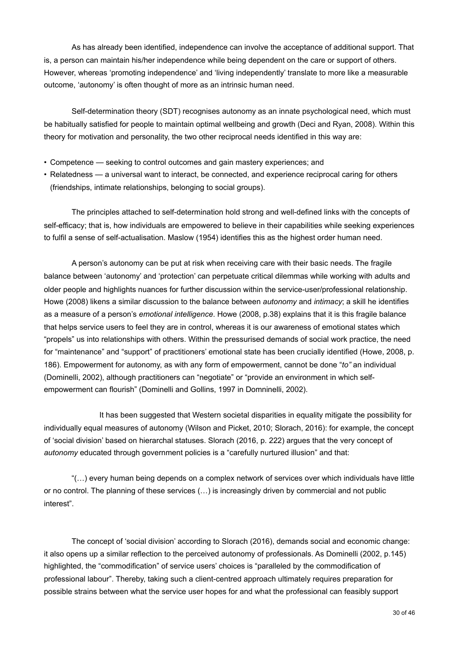As has already been identified, independence can involve the acceptance of additional support. That is, a person can maintain his/her independence while being dependent on the care or support of others. However, whereas 'promoting independence' and 'living independently' translate to more like a measurable outcome, 'autonomy' is often thought of more as an intrinsic human need.

Self-determination theory (SDT) recognises autonomy as an innate psychological need, which must be habitually satisfied for people to maintain optimal wellbeing and growth (Deci and Ryan, 2008). Within this theory for motivation and personality, the two other reciprocal needs identified in this way are:

- Competence seeking to control outcomes and gain mastery experiences; and
- Relatedness a universal want to interact, be connected, and experience reciprocal caring for others (friendships, intimate relationships, belonging to social groups).

 The principles attached to self-determination hold strong and well-defined links with the concepts of self-efficacy; that is, how individuals are empowered to believe in their capabilities while seeking experiences to fulfil a sense of self-actualisation. Maslow (1954) identifies this as the highest order human need.

A person's autonomy can be put at risk when receiving care with their basic needs. The fragile balance between 'autonomy' and 'protection' can perpetuate critical dilemmas while working with adults and older people and highlights nuances for further discussion within the service-user/professional relationship. Howe (2008) likens a similar discussion to the balance between *autonomy* and *intimacy*; a skill he identifies as a measure of a person's *emotional intelligence*. Howe (2008, p.38) explains that it is this fragile balance that helps service users to feel they are in control, whereas it is our awareness of emotional states which "propels" us into relationships with others. Within the pressurised demands of social work practice, the need for "maintenance" and "support" of practitioners' emotional state has been crucially identified (Howe, 2008, p. 186). Empowerment for autonomy, as with any form of empowerment, cannot be done "*to"* an individual (Dominelli, 2002), although practitioners can "negotiate" or "provide an environment in which selfempowerment can flourish" (Dominelli and Gollins, 1997 in Domninelli, 2002).

 It has been suggested that Western societal disparities in equality mitigate the possibility for individually equal measures of autonomy (Wilson and Picket, 2010; Slorach, 2016): for example, the concept of 'social division' based on hierarchal statuses. Slorach (2016, p. 222) argues that the very concept of *autonomy* educated through government policies is a "carefully nurtured illusion" and that:

 "(…) every human being depends on a complex network of services over which individuals have little or no control. The planning of these services (…) is increasingly driven by commercial and not public interest".

 The concept of 'social division' according to Slorach (2016), demands social and economic change: it also opens up a similar reflection to the perceived autonomy of professionals. As Dominelli (2002, p.145) highlighted, the "commodification" of service users' choices is "paralleled by the commodification of professional labour". Thereby, taking such a client-centred approach ultimately requires preparation for possible strains between what the service user hopes for and what the professional can feasibly support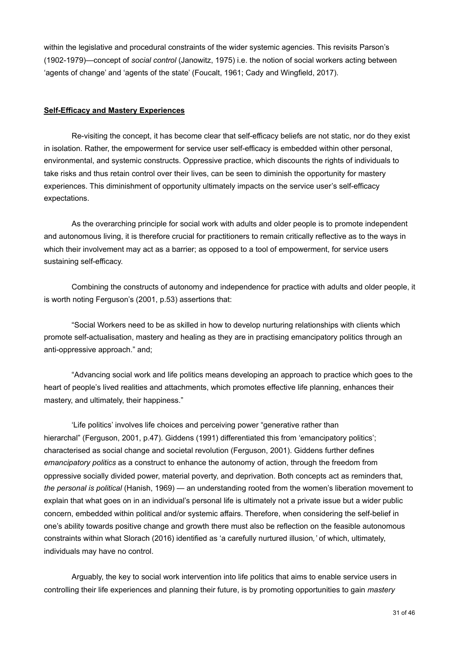within the legislative and procedural constraints of the wider systemic agencies. This revisits Parson's (1902-1979)—concept of *social control* (Janowitz, 1975) i.e. the notion of social workers acting between 'agents of change' and 'agents of the state' (Foucalt, 1961; Cady and Wingfield, 2017).

#### <span id="page-34-0"></span>**Self-Efficacy and Mastery Experiences**

 Re-visiting the concept, it has become clear that self-efficacy beliefs are not static, nor do they exist in isolation. Rather, the empowerment for service user self-efficacy is embedded within other personal, environmental, and systemic constructs. Oppressive practice, which discounts the rights of individuals to take risks and thus retain control over their lives, can be seen to diminish the opportunity for mastery experiences. This diminishment of opportunity ultimately impacts on the service user's self-efficacy expectations.

 As the overarching principle for social work with adults and older people is to promote independent and autonomous living, it is therefore crucial for practitioners to remain critically reflective as to the ways in which their involvement may act as a barrier; as opposed to a tool of empowerment, for service users sustaining self-efficacy.

 Combining the constructs of autonomy and independence for practice with adults and older people, it is worth noting Ferguson's (2001, p.53) assertions that:

 "Social Workers need to be as skilled in how to develop nurturing relationships with clients which promote self-actualisation, mastery and healing as they are in practising emancipatory politics through an anti-oppressive approach." and;

 "Advancing social work and life politics means developing an approach to practice which goes to the heart of people's lived realities and attachments, which promotes effective life planning, enhances their mastery, and ultimately, their happiness."

 'Life politics' involves life choices and perceiving power "generative rather than hierarchal" (Ferguson, 2001, p.47). Giddens (1991) differentiated this from 'emancipatory politics'; characterised as social change and societal revolution (Ferguson, 2001). Giddens further defines *emancipatory politics* as a construct to enhance the autonomy of action, through the freedom from oppressive socially divided power, material poverty, and deprivation. Both concepts act as reminders that, *the personal is political* (Hanish, 1969) — an understanding rooted from the women's liberation movement to explain that what goes on in an individual's personal life is ultimately not a private issue but a wider public concern, embedded within political and/or systemic affairs. Therefore, when considering the self-belief in one's ability towards positive change and growth there must also be reflection on the feasible autonomous constraints within what Slorach (2016) identified as 'a carefully nurtured illusion*,'* of which, ultimately, individuals may have no control.

Arguably, the key to social work intervention into life politics that aims to enable service users in controlling their life experiences and planning their future, is by promoting opportunities to gain *mastery*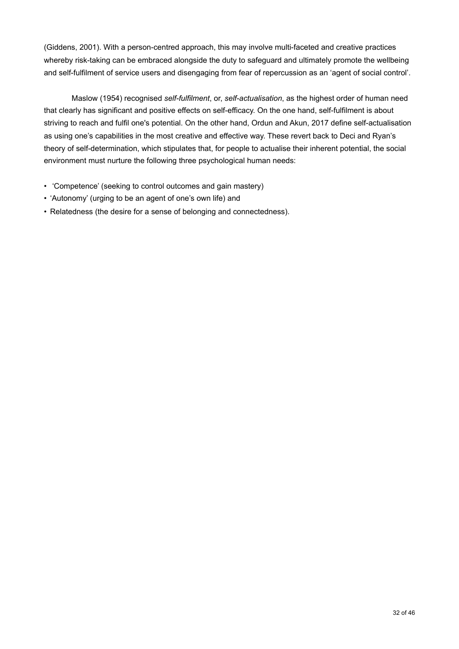(Giddens, 2001). With a person-centred approach, this may involve multi-faceted and creative practices whereby risk-taking can be embraced alongside the duty to safeguard and ultimately promote the wellbeing and self-fulfilment of service users and disengaging from fear of repercussion as an 'agent of social control'.

 Maslow (1954) recognised *self-fulfilment*, or, *self-actualisation*, as the highest order of human need that clearly has significant and positive effects on self-efficacy. On the one hand, self-fulfilment is about striving to reach and fulfil one's potential. On the other hand, Ordun and Akun, 2017 define self-actualisation as using one's capabilities in the most creative and effective way. These revert back to Deci and Ryan's theory of self-determination, which stipulates that, for people to actualise their inherent potential, the social environment must nurture the following three psychological human needs:

- 'Competence' (seeking to control outcomes and gain mastery)
- 'Autonomy' (urging to be an agent of one's own life) and
- Relatedness (the desire for a sense of belonging and connectedness).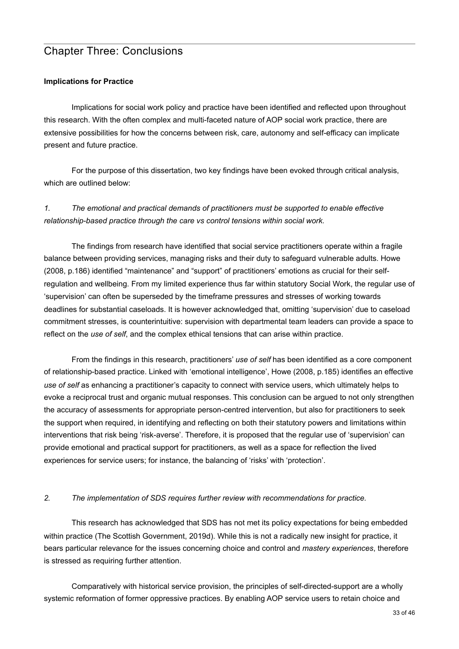# <span id="page-36-0"></span>Chapter Three: Conclusions

#### <span id="page-36-1"></span>**Implications for Practice**

 Implications for social work policy and practice have been identified and reflected upon throughout this research. With the often complex and multi-faceted nature of AOP social work practice, there are extensive possibilities for how the concerns between risk, care, autonomy and self-efficacy can implicate present and future practice.

 For the purpose of this dissertation, two key findings have been evoked through critical analysis, which are outlined below:

## *1. The emotional and practical demands of practitioners must be supported to enable effective relationship-based practice through the care vs control tensions within social work.*

The findings from research have identified that social service practitioners operate within a fragile balance between providing services, managing risks and their duty to safeguard vulnerable adults. Howe (2008, p.186) identified "maintenance" and "support" of practitioners' emotions as crucial for their selfregulation and wellbeing. From my limited experience thus far within statutory Social Work, the regular use of 'supervision' can often be superseded by the timeframe pressures and stresses of working towards deadlines for substantial caseloads. It is however acknowledged that, omitting 'supervision' due to caseload commitment stresses, is counterintuitive: supervision with departmental team leaders can provide a space to reflect on the *use of self*, and the complex ethical tensions that can arise within practice.

 From the findings in this research, practitioners' *use of self* has been identified as a core component of relationship-based practice. Linked with 'emotional intelligence', Howe (2008, p.185) identifies an effective *use of self* as enhancing a practitioner's capacity to connect with service users, which ultimately helps to evoke a reciprocal trust and organic mutual responses. This conclusion can be argued to not only strengthen the accuracy of assessments for appropriate person-centred intervention, but also for practitioners to seek the support when required, in identifying and reflecting on both their statutory powers and limitations within interventions that risk being 'risk-averse'. Therefore, it is proposed that the regular use of 'supervision' can provide emotional and practical support for practitioners, as well as a space for reflection the lived experiences for service users; for instance, the balancing of 'risks' with 'protection'.

#### *2. The implementation of SDS requires further review with recommendations for practice.*

This research has acknowledged that SDS has not met its policy expectations for being embedded within practice (The Scottish Government, 2019d). While this is not a radically new insight for practice, it bears particular relevance for the issues concerning choice and control and *mastery experiences*, therefore is stressed as requiring further attention.

 Comparatively with historical service provision, the principles of self-directed-support are a wholly systemic reformation of former oppressive practices. By enabling AOP service users to retain choice and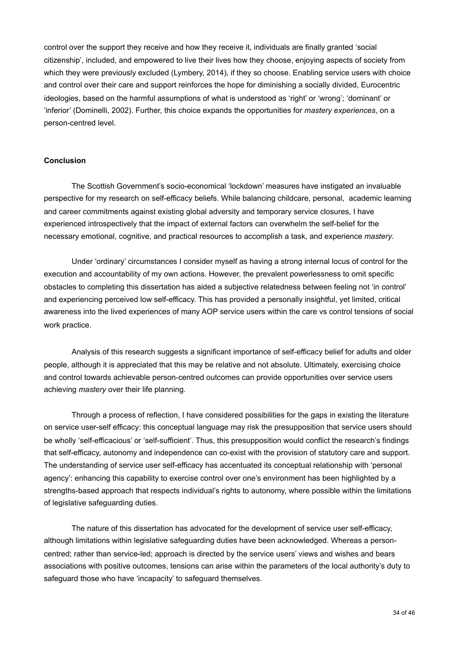control over the support they receive and how they receive it, individuals are finally granted 'social citizenship', included, and empowered to live their lives how they choose, enjoying aspects of society from which they were previously excluded (Lymbery, 2014), if they so choose. Enabling service users with choice and control over their care and support reinforces the hope for diminishing a socially divided, Eurocentric ideologies, based on the harmful assumptions of what is understood as 'right' or 'wrong'; 'dominant' or 'inferior' (Dominelli, 2002). Further, this choice expands the opportunities for *mastery experiences*, on a person-centred level.

#### <span id="page-37-0"></span>**Conclusion**

The Scottish Government's socio-economical 'lockdown' measures have instigated an invaluable perspective for my research on self-efficacy beliefs. While balancing childcare, personal, academic learning and career commitments against existing global adversity and temporary service closures, I have experienced introspectively that the impact of external factors can overwhelm the self-belief for the necessary emotional, cognitive, and practical resources to accomplish a task, and experience *mastery*.

 Under 'ordinary' circumstances I consider myself as having a strong internal locus of control for the execution and accountability of my own actions. However, the prevalent powerlessness to omit specific obstacles to completing this dissertation has aided a subjective relatedness between feeling not 'in control' and experiencing perceived low self-efficacy. This has provided a personally insightful, yet limited, critical awareness into the lived experiences of many AOP service users within the care vs control tensions of social work practice.

Analysis of this research suggests a significant importance of self-efficacy belief for adults and older people, although it is appreciated that this may be relative and not absolute. Ultimately, exercising choice and control towards achievable person-centred outcomes can provide opportunities over service users achieving *mastery* over their life planning.

 Through a process of reflection, I have considered possibilities for the gaps in existing the literature on service user-self efficacy: this conceptual language may risk the presupposition that service users should be wholly 'self-efficacious' or 'self-sufficient'. Thus, this presupposition would conflict the research's findings that self-efficacy, autonomy and independence can co-exist with the provision of statutory care and support. The understanding of service user self-efficacy has accentuated its conceptual relationship with 'personal agency': enhancing this capability to exercise control over one's environment has been highlighted by a strengths-based approach that respects individual's rights to autonomy, where possible within the limitations of legislative safeguarding duties.

The nature of this dissertation has advocated for the development of service user self-efficacy, although limitations within legislative safeguarding duties have been acknowledged. Whereas a personcentred; rather than service-led; approach is directed by the service users' views and wishes and bears associations with positive outcomes, tensions can arise within the parameters of the local authority's duty to safeguard those who have 'incapacity' to safeguard themselves.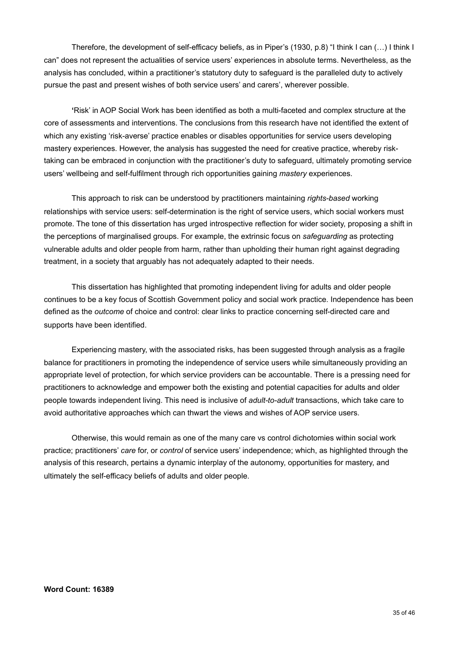Therefore, the development of self-efficacy beliefs, as in Piper's (1930, p.8) "I think I can (…) I think I can" does not represent the actualities of service users' experiences in absolute terms. Nevertheless, as the analysis has concluded, within a practitioner's statutory duty to safeguard is the paralleled duty to actively pursue the past and present wishes of both service users' and carers', wherever possible.

 **'**Risk' in AOP Social Work has been identified as both a multi-faceted and complex structure at the core of assessments and interventions. The conclusions from this research have not identified the extent of which any existing 'risk-averse' practice enables or disables opportunities for service users developing mastery experiences. However, the analysis has suggested the need for creative practice, whereby risktaking can be embraced in conjunction with the practitioner's duty to safeguard, ultimately promoting service users' wellbeing and self-fulfilment through rich opportunities gaining *mastery* experiences.

 This approach to risk can be understood by practitioners maintaining *rights-based* working relationships with service users: self-determination is the right of service users, which social workers must promote. The tone of this dissertation has urged introspective reflection for wider society, proposing a shift in the perceptions of marginalised groups. For example, the extrinsic focus on *safeguarding* as protecting vulnerable adults and older people from harm, rather than upholding their human right against degrading treatment, in a society that arguably has not adequately adapted to their needs.

This dissertation has highlighted that promoting independent living for adults and older people continues to be a key focus of Scottish Government policy and social work practice. Independence has been defined as the *outcome* of choice and control: clear links to practice concerning self-directed care and supports have been identified.

 Experiencing mastery, with the associated risks, has been suggested through analysis as a fragile balance for practitioners in promoting the independence of service users while simultaneously providing an appropriate level of protection, for which service providers can be accountable. There is a pressing need for practitioners to acknowledge and empower both the existing and potential capacities for adults and older people towards independent living. This need is inclusive of *adult-to-adult* transactions, which take care to avoid authoritative approaches which can thwart the views and wishes of AOP service users.

 Otherwise, this would remain as one of the many care vs control dichotomies within social work practice; practitioners' *care* for, or *control* of service users' independence; which, as highlighted through the analysis of this research, pertains a dynamic interplay of the autonomy, opportunities for mastery, and ultimately the self-efficacy beliefs of adults and older people.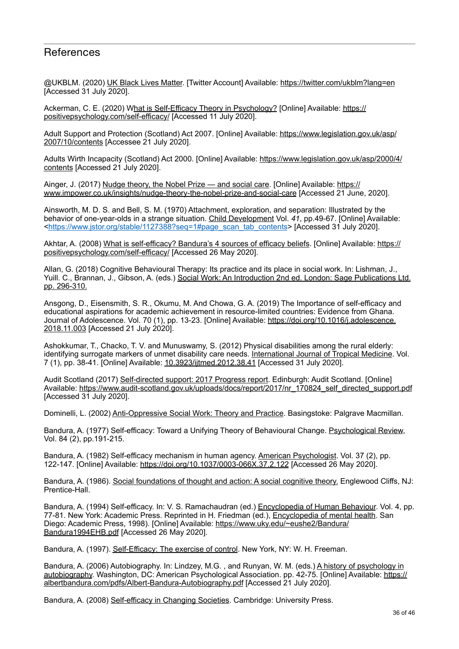## <span id="page-39-0"></span>**References**

@UKBLM. (2020) UK Black Lives Matter. [Twitter Account] Available:<https://twitter.com/ukblm?lang=en> [Accessed 31 July 2020].

Ackerman, C. E. (2020) What is Self-Efficacy Theory in Psychology? [Online] Available: [https://](https://positivepsychology.com/self-efficacy/) [positivepsychology.com/self-efficacy/](https://positivepsychology.com/self-efficacy/) [Accessed 11 July 2020].

Adult Support and Protection (Scotland) Act 2007. [Online] Available: [https://www.legislation.gov.uk/asp/](https://www.legislation.gov.uk/asp/2007/10/contents) [2007/10/contents](https://www.legislation.gov.uk/asp/2007/10/contents) [Accessee 21 July 2020].

Adults Wirth Incapacity (Scotland) Act 2000. [Online] Available: [https://www.legislation.gov.uk/asp/2000/4/](https://www.legislation.gov.uk/asp/2000/4/contents) [contents](https://www.legislation.gov.uk/asp/2000/4/contents) [Accessed 21 July 2020].

Ainger, J. (2017) Nudge theory, the Nobel Prize — and social care. [Online] Available: [https://](https://www.impower.co.uk/insights/nudge-theory-the-nobel-prize-and-social-care) [www.impower.co.uk/insights/nudge-theory-the-nobel-prize-and-social-care](https://www.impower.co.uk/insights/nudge-theory-the-nobel-prize-and-social-care) [Accessed 21 June, 2020].

Ainsworth, M. D. S. and Bell, S. M. (1970) Attachment, exploration, and separation: Illustrated by the behavior of one-year-olds in a strange situation. Child Development Vol. *41*, pp.49-67. [Online] Available: <[https://www.jstor.org/stable/1127388?seq=1#page\\_scan\\_tab\\_contents](https://www.jstor.org/stable/1127388?seq=1%23page_scan_tab_contents)> [Accessed 31 July 2020].

Akhtar, A. (2008) What is self-efficacy? Bandura's 4 sources of efficacy beliefs. [Online] Available: [https://](https://positivepsychology.com/self-efficacy/) [positivepsychology.com/self-efficacy/](https://positivepsychology.com/self-efficacy/) [Accessed 26 May 2020].

Allan, G. (2018) Cognitive Behavioural Therapy: Its practice and its place in social work. In: Lishman, J., Yuill. C., Brannan, J., Gibson, A. (eds.) Social Work: An Introduction 2nd ed. London: Sage Publications Ltd. pp. 296-310.

Ansgong, D., Eisensmith, S. R., Okumu, M. And Chowa, G. A. (2019) The Importance of self-efficacy and educational aspirations for academic achievement in resource-limited countries: Evidence from Ghana. Journal of Adolescence. Vol. 70 (1), pp. 13-23. [Online] Available: [https://doi.org/10.1016/j.adolescence.](https://doi.org/10.1016/j.adolescence.2018.11.003) [2018.11.003](https://doi.org/10.1016/j.adolescence.2018.11.003) [Accessed 21 July 2020].

Ashokkumar, T., Chacko, T. V. and Munuswamy, S. (2012) Physical disabilities among the rural elderly: identifying surrogate markers of unmet disability care needs. International Journal of Tropical Medicine. Vol. 7 (1), pp. 38-41. [Online] Available: [10.3923/ijtmed.2012.38.41](http://dx.doi.org/10.3923/ijtmed.2012.38.41) [Accessed 31 July 2020].

Audit Scotland (2017) Self-directed support: 2017 Progress report. Edinburgh: Audit Scotland. [Online] Available: [https://www.audit-scotland.gov.uk/uploads/docs/report/2017/nr\\_170824\\_self\\_directed\\_support.pdf](https://www.audit-scotland.gov.uk/uploads/docs/report/2017/nr_170824_self_directed_support.pdf) [Accessed 31 July 2020].

Dominelli, L. (2002) Anti-Oppressive Social Work: Theory and Practice. Basingstoke: Palgrave Macmillan.

Bandura, A. (1977) Self-efficacy: Toward a Unifying Theory of Behavioural Change. **Psychological Review**, Vol. 84 (2), pp.191-215.

Bandura, A. (1982) Self-efficacy mechanism in human agency. American Psychologist. Vol. 37 (2), pp. 122-147. [Online] Available: <https://doi.org/10.1037/0003-066X.37.2.122>[Accessed 26 May 2020].

Bandura, A. (1986). Social foundations of thought and action: A social cognitive theory. Englewood Cliffs, NJ: Prentice-Hall.

Bandura, A. (1994) Self-efficacy. In: V. S. Ramachaudran (ed.) Encyclopedia of Human Behaviour. Vol. 4, pp. 77-81. New York: Academic Press. Reprinted in H. Friedman (ed.), Encyclopedia of mental health. San Diego: Academic Press, 1998). [Online] Available: [https://www.uky.edu/~eushe2/Bandura/](https://www.uky.edu/~eushe2/Bandura/Bandura1994EHB.pdf) [Bandura1994EHB.pdf](https://www.uky.edu/~eushe2/Bandura/Bandura1994EHB.pdf) [Accessed 26 May 2020].

Bandura, A. (1997). Self-Efficacy: The exercise of control. New York, NY: W. H. Freeman.

Bandura, A. (2006) Autobiography. In: Lindzey, M.G. , and Runyan, W. M. (eds.) A history of psychology in autobiography. Washington, DC: American Psychological Association. pp. 42-75. [Online] Available: [https://](https://albertbandura.com/pdfs/Albert-Bandura-Autobiography.pdf) [albertbandura.com/pdfs/Albert-Bandura-Autobiography.pdf](https://albertbandura.com/pdfs/Albert-Bandura-Autobiography.pdf) [Accessed 21 July 2020].

Bandura, A. (2008) Self-efficacy in Changing Societies. Cambridge: University Press.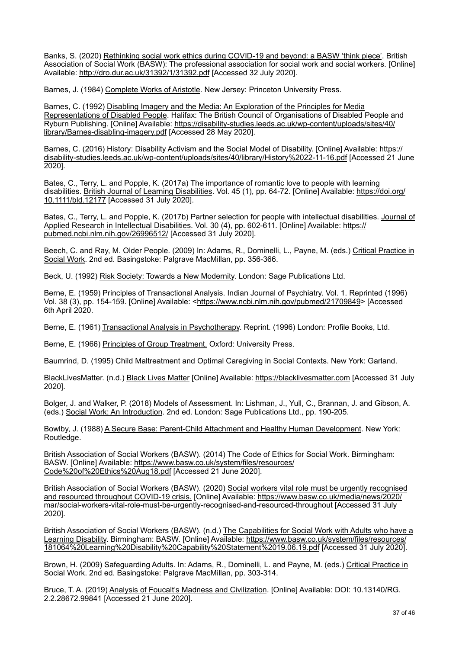Banks, S. (2020) Rethinking social work ethics during COVID-19 and beyond: a BASW 'think piece'. British Association of Social Work (BASW): The professional association for social work and social workers. [Online] Available: <http://dro.dur.ac.uk/31392/1/31392.pdf>[Accessed 32 July 2020].

Barnes, J. (1984) Complete Works of Aristotle. New Jersey: Princeton University Press.

Barnes, C. (1992) Disabling Imagery and the Media: An Exploration of the Principles for Media Representations of Disabled People. Halifax: The British Council of Organisations of Disabled People and Ryburn Publishing. [Online] Available: [https://disability-studies.leeds.ac.uk/wp-content/uploads/sites/40/](https://disability-studies.leeds.ac.uk/wp-content/uploads/sites/40/library/Barnes-disabling-imagery.pdf) [library/Barnes-disabling-imagery.pdf](https://disability-studies.leeds.ac.uk/wp-content/uploads/sites/40/library/Barnes-disabling-imagery.pdf) [Accessed 28 May 2020].

Barnes, C. (2016) History: Disability Activism and the Social Model of Disability. [Online] Available: [https://](https://disability-studies.leeds.ac.uk/wp-content/uploads/sites/40/library/History%2022-11-16.pdf) [disability-studies.leeds.ac.uk/wp-content/uploads/sites/40/library/History%2022-11-16.pdf](https://disability-studies.leeds.ac.uk/wp-content/uploads/sites/40/library/History%2022-11-16.pdf) [Accessed 21 June 2020].

Bates, C., Terry, L. and Popple, K. (2017a) The importance of romantic love to people with learning disabilities. British Journal of Learning Disabilities. Vol. 45 (1), pp. 64-72. [Online] Available: [https://doi.org/](https://doi.org/10.1111/bld.12177) [10.1111/bld.12177](https://doi.org/10.1111/bld.12177) [Accessed 31 July 2020].

Bates, C., Terry, L. and Popple, K. (2017b) Partner selection for people with intellectual disabilities. Journal of Applied Research in Intellectual Disabilities. Vol. 30 (4), pp. 602-611. [Online] Available: [https://](https://pubmed.ncbi.nlm.nih.gov/26996512/) [pubmed.ncbi.nlm.nih.gov/26996512/](https://pubmed.ncbi.nlm.nih.gov/26996512/) [Accessed 31 July 2020].

Beech, C. and Ray, M. Older People. (2009) In: Adams, R., Dominelli, L., Payne, M. (eds.) Critical Practice in Social Work. 2nd ed. Basingstoke: Palgrave MacMillan, pp. 356-366.

Beck, U. (1992) Risk Society: Towards a New Modernity. London: Sage Publications Ltd.

Berne, E. (1959) Principles of Transactional Analysis. Indian Journal of Psychiatry. Vol. 1. Reprinted (1996) Vol. 38 (3), pp. 154-159. [Online] Available: [<https://www.ncbi.nlm.nih.gov/pubmed/21709849>](https://www.ncbi.nlm.nih.gov/pubmed/21709849) [Accessed 6th April 2020.

Berne, E. (1961) Transactional Analysis in Psychotherapy. Reprint. (1996) London: Profile Books, Ltd.

Berne, E. (1966) Principles of Group Treatment. Oxford: University Press.

Baumrind, D. (1995) Child Maltreatment and Optimal Caregiving in Social Contexts. New York: Garland.

BlackLivesMatter. (n.d.) Black Lives Matter [Online] Available:<https://blacklivesmatter.com> [Accessed 31 July 2020].

Bolger, J. and Walker, P. (2018) Models of Assessment. In: Lishman, J., Yull, C., Brannan, J. and Gibson, A. (eds.) Social Work: An Introduction. 2nd ed. London: Sage Publications Ltd., pp. 190-205.

Bowlby, J. (1988) A Secure Base: Parent-Child Attachment and Healthy Human Development. New York: Routledge.

British Association of Social Workers (BASW). (2014) The Code of Ethics for Social Work. Birmingham: BASW. [Online] Available: [https://www.basw.co.uk/system/files/resources/](https://www.basw.co.uk/system/files/resources/Code%20of%20Ethics%20Aug18.pdf) [Code%20of%20Ethics%20Aug18.pdf \[Accessed 21 June 2020\].](https://www.basw.co.uk/system/files/resources/Code%20of%20Ethics%20Aug18.pdf) 

British Association of Social Workers (BASW). (2020) Social workers vital role must be urgently recognised and resourced throughout COVID-19 crisis. [Online] Available: [https://www.basw.co.uk/media/news/2020/](https://www.basw.co.uk/media/news/2020/mar/social-workers-vital-role-must-be-urgently-recognised-and-resourced-throughout) [mar/social-workers-vital-role-must-be-urgently-recognised-and-resourced-throughout \[Accessed 31 July](https://www.basw.co.uk/media/news/2020/mar/social-workers-vital-role-must-be-urgently-recognised-and-resourced-throughout)  2020].

British Association of Social Workers (BASW). (n.d.) The Capabilities for Social Work with Adults who have a Learning Disability. Birmingham: BASW. [Online] Available: [https://www.basw.co.uk/system/files/resources/](https://www.basw.co.uk/system/files/resources/181064%20Learning%20Disability%20Capability%20Statement%2019.06.19.pdf) [181064%20Learning%20Disability%20Capability%20Statement%2019.06.19.pdf \[Accessed 31 July 2020\].](https://www.basw.co.uk/system/files/resources/181064%20Learning%20Disability%20Capability%20Statement%2019.06.19.pdf)

Brown, H. (2009) Safeguarding Adults. In: Adams, R., Dominelli, L. and Payne, M. (eds.) Critical Practice in Social Work. 2nd ed. Basingstoke: Palgrave MacMillan, pp. 303-314.

Bruce, T. A. (2019) Analysis of Foucalt's Madness and Civilization. [Online] Available: DOI: 10.13140/RG. 2.2.28672.99841 [Accessed 21 June 2020].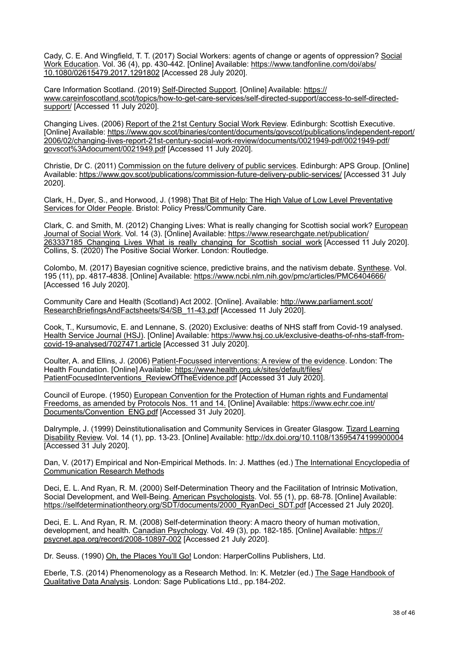Cady, C. E. And Wingfield, T. T. (2017) Social Workers: agents of change or agents of oppression? Social Work Education. Vol. 36 (4), pp. 430-442. [Online] Available: [https://www.tandfonline.com/doi/abs/](https://www.tandfonline.com/doi/abs/10.1080/02615479.2017.1291802) [10.1080/02615479.2017.1291802](https://www.tandfonline.com/doi/abs/10.1080/02615479.2017.1291802) [Accessed 28 July 2020].

Care Information Scotland. (2019) Self-Directed Support. [Online] Available: [https://](https://www.careinfoscotland.scot/topics/how-to-get-care-services/self-directed-support/access-to-self-directed-support/) [www.careinfoscotland.scot/topics/how-to-get-care-services/self-directed-support/access-to-self-directed](https://www.careinfoscotland.scot/topics/how-to-get-care-services/self-directed-support/access-to-self-directed-support/)[support/](https://www.careinfoscotland.scot/topics/how-to-get-care-services/self-directed-support/access-to-self-directed-support/) [Accessed 11 July 2020].

Changing Lives. (2006) Report of the 21st Century Social Work Review. Edinburgh: Scottish Executive. [Online] Available: [https://www.gov.scot/binaries/content/documents/govscot/publications/independent-report/](https://www.gov.scot/binaries/content/documents/govscot/publications/independent-report/2006/02/changing-lives-report-21st-century-social-work-review/documents/0021949-pdf/0021949-pdf/govscot%3Adocument/0021949.pdf) [2006/02/changing-lives-report-21st-century-social-work-review/documents/0021949-pdf/0021949-pdf/](https://www.gov.scot/binaries/content/documents/govscot/publications/independent-report/2006/02/changing-lives-report-21st-century-social-work-review/documents/0021949-pdf/0021949-pdf/govscot%3Adocument/0021949.pdf) [govscot%3Adocument/0021949.pdf](https://www.gov.scot/binaries/content/documents/govscot/publications/independent-report/2006/02/changing-lives-report-21st-century-social-work-review/documents/0021949-pdf/0021949-pdf/govscot%3Adocument/0021949.pdf) [Accessed 11 July 2020].

Christie, Dr C. (2011) Commission on the future delivery of public services. Edinburgh: APS Group. [Online] Available: <https://www.gov.scot/publications/commission-future-delivery-public-services/> [Accessed 31 July 2020].

Clark, H., Dyer, S., and Horwood, J. (1998) That Bit of Help: The High Value of Low Level Preventative Services for Older People. Bristol: Policy Press/Community Care.

Clark, C. and Smith, M. (2012) Changing Lives: What is really changing for Scottish social work? European Journal of Social Work. Vol. 14 (3). [Online] Available: [https://www.researchgate.net/publication/](https://www.researchgate.net/publication/263337185_Changing_Lives_What_is_really_changing_for_Scottish_social_work) 263337185 Changing Lives What is really changing for Scottish social work [Accessed 11 July 2020]. Collins, S. (2020) The Positive Social Worker. London: Routledge.

Colombo, M. (2017) Bayesian cognitive science, predictive brains, and the nativism debate. Synthese. Vol. 195 (11), pp. 4817-4838. [Online] Available:<https://www.ncbi.nlm.nih.gov/pmc/articles/PMC6404666/> [Accessed 16 July 2020].

Community Care and Health (Scotland) Act 2002. [Online]. Available: [http://www.parliament.scot/](http://www.parliament.scot/ResearchBriefingsAndFactsheets/S4/SB_11-43.pdf) [ResearchBriefingsAndFactsheets/S4/SB\\_11-43.pdf](http://www.parliament.scot/ResearchBriefingsAndFactsheets/S4/SB_11-43.pdf) [Accessed 11 July 2020].

Cook, T., Kursumovic, E. and Lennane, S. (2020) Exclusive: deaths of NHS staff from Covid-19 analysed. Health Service Journal (HSJ). [Online] Available: [https://www.hsj.co.uk/exclusive-deaths-of-nhs-staff-from](https://www.hsj.co.uk/exclusive-deaths-of-nhs-staff-from-covid-19-analysed/7027471.article)[covid-19-analysed/7027471.article](https://www.hsj.co.uk/exclusive-deaths-of-nhs-staff-from-covid-19-analysed/7027471.article) [Accessed 31 July 2020].

Coulter, A. and Ellins, J. (2006) Patient-Focussed interventions: A review of the evidence. London: The Health Foundation. [Online] Available: [https://www.health.org.uk/sites/default/files/](https://www.health.org.uk/sites/default/files/PatientFocusedInterventions_ReviewOfTheEvidence.pdf) [PatientFocusedInterventions\\_ReviewOfTheEvidence.pdf \[Accessed 31 July 2020\]](https://www.health.org.uk/sites/default/files/PatientFocusedInterventions_ReviewOfTheEvidence.pdf).

Council of Europe. (1950) European Convention for the Protection of Human rights and Fundamental Freedoms, as amended by Protocols Nos. 11 and 14. [Online] Available: [https://www.echr.coe.int/](https://www.echr.coe.int/Documents/Convention_ENG.pdf) [Documents/Convention\\_ENG.pdf](https://www.echr.coe.int/Documents/Convention_ENG.pdf) [Accessed 31 July 2020].

Dalrymple, J. (1999) Deinstitutionalisation and Community Services in Greater Glasgow. Tizard Learning Disability Review. Vol. 14 (1), pp. 13-23. [Online] Available:<http://dx.doi.org/10.1108/13595474199900004> [Accessed 31 July 2020].

Dan, V. (2017) Empirical and Non-Empirical Methods. In: J. Matthes (ed.) The International Encyclopedia of Communication Research Methods

Deci, E. L. And Ryan, R. M. (2000) Self-Determination Theory and the Facilitation of Intrinsic Motivation, Social Development, and Well-Being. American Psychologists. Vol. 55 (1), pp. 68-78. [Online] Available: [https://selfdeterminationtheory.org/SDT/documents/2000\\_RyanDeci\\_SDT.pdf](https://selfdeterminationtheory.org/SDT/documents/2000_RyanDeci_SDT.pdf) [Accessed 21 July 2020].

Deci, E. L. And Ryan, R. M. (2008) Self-determination theory: A macro theory of human motivation, development, and health. Canadian Psychology. Vol. 49 (3), pp. 182-185. [Online] Available: [https://](https://psycnet.apa.org/record/2008-10897-002) [psycnet.apa.org/record/2008-10897-002](https://psycnet.apa.org/record/2008-10897-002) [Accessed 21 July 2020].

Dr. Seuss. (1990) Oh, the Places You'll Go! London: HarperCollins Publishers, Ltd.

Eberle, T.S. (2014) Phenomenology as a Research Method. In: K. Metzler (ed.) The Sage Handbook of Qualitative Data Analysis. London: Sage Publications Ltd., pp.184-202.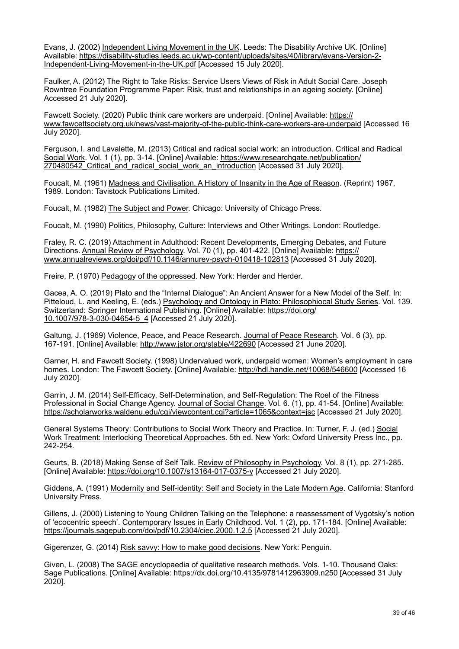Evans, J. (2002) Independent Living Movement in the UK. Leeds: The Disability Archive UK. [Online] Available: [https://disability-studies.leeds.ac.uk/wp-content/uploads/sites/40/library/evans-Version-2-](https://disability-studies.leeds.ac.uk/wp-content/uploads/sites/40/library/evans-Version-2-Independent-Living-Movement-in-the-UK.pdf) [Independent-Living-Movement-in-the-UK.pdf \[Accessed 15 July 2020\].](https://disability-studies.leeds.ac.uk/wp-content/uploads/sites/40/library/evans-Version-2-Independent-Living-Movement-in-the-UK.pdf) 

Faulker, A. (2012) The Right to Take Risks: Service Users Views of Risk in Adult Social Care. Joseph Rowntree Foundation Programme Paper: Risk, trust and relationships in an ageing society. [Online] Accessed 21 July 2020].

Fawcett Society. (2020) Public think care workers are underpaid. [Online] Available: [https://](https://www.fawcettsociety.org.uk/news/vast-majority-of-the-public-think-care-workers-are-underpaid) [www.fawcettsociety.org.uk/news/vast-majority-of-the-public-think-care-workers-are-underpaid](https://www.fawcettsociety.org.uk/news/vast-majority-of-the-public-think-care-workers-are-underpaid) [Accessed 16 July 2020].

Ferguson, I. and Lavalette, M. (2013) Critical and radical social work: an introduction. Critical and Radical Social Work. Vol. 1 (1), pp. 3-14. [Online] Available: [https://www.researchgate.net/publication/](https://www.researchgate.net/publication/270480542_Critical_and_radical_social_work_an_introduction) [270480542\\_Critical\\_and\\_radical\\_social\\_work\\_an\\_introduction \[Accessed 31 July 2020\].](https://www.researchgate.net/publication/270480542_Critical_and_radical_social_work_an_introduction) 

Foucalt, M. (1961) Madness and Civilisation. A History of Insanity in the Age of Reason. (Reprint) 1967, 1989. London: Tavistock Publications Limited.

Foucalt, M. (1982) The Subject and Power. Chicago: University of Chicago Press.

Foucalt, M. (1990) Politics, Philosophy, Culture: Interviews and Other Writings. London: Routledge.

Fraley, R. C. (2019) Attachment in Adulthood: Recent Developments, Emerging Debates, and Future Directions. Annual Review of Psychology. Vol. 70 (1), pp. 401-422. [Online] Available: [https://](https://www.annualreviews.org/doi/pdf/10.1146/annurev-psych-010418-102813) [www.annualreviews.org/doi/pdf/10.1146/annurev-psych-010418-102813](https://www.annualreviews.org/doi/pdf/10.1146/annurev-psych-010418-102813) [Accessed 31 July 2020].

Freire, P. (1970) Pedagogy of the oppressed. New York: Herder and Herder.

Gacea, A. O. (2019) Plato and the "Internal Dialogue": An Ancient Answer for a New Model of the Self. In: Pitteloud, L. and Keeling, E. (eds.) Psychology and Ontology in Plato: Philosophiocal Study Series. Vol. 139. Switzerland: Springer International Publishing. [Online] Available: [https://doi.org/](https://doi.org/10.1007/978-3-030-04654-5_4) [10.1007/978-3-030-04654-5\\_4](https://doi.org/10.1007/978-3-030-04654-5_4) [Accessed 21 July 2020].

Galtung, J. (1969) Violence, Peace, and Peace Research. Journal of Peace Research. Vol. 6 (3), pp. 167-191. [Online] Available: <http://www.jstor.org/stable/422690>[Accessed 21 June 2020].

Garner, H. and Fawcett Society. (1998) Undervalued work, underpaid women: Women's employment in care homes. London: The Fawcett Society. [Online] Available:<http://hdl.handle.net/10068/546600>[Accessed 16 July 2020].

Garrin, J. M. (2014) Self-Efficacy, Self-Determination, and Self-Regulation: The Roel of the Fitness Professional in Social Change Agency. Journal of Social Change. Vol. 6. (1), pp. 41-54. [Online] Available: <https://scholarworks.waldenu.edu/cgi/viewcontent.cgi?article=1065&context=jsc>[Accessed 21 July 2020].

General Systems Theory: Contributions to Social Work Theory and Practice. In: Turner, F. J. (ed.) Social Work Treatment: Interlocking Theoretical Approaches. 5th ed. New York: Oxford University Press Inc., pp. 242-254.

Geurts, B. (2018) Making Sense of Self Talk. Review of Philosophy in Psychology. Vol. 8 (1), pp. 271-285. [Online] Available:<https://doi.org/10.1007/s13164-017-0375-y> [Accessed 21 July 2020].

Giddens, A. (1991) Modernity and Self-identity: Self and Society in the Late Modern Age. California: Stanford University Press.

Gillens, J. (2000) Listening to Young Children Talking on the Telephone: a reassessment of Vygotsky's notion of 'ecocentric speech'. Contemporary Issues in Early Childhood. Vol. 1 (2), pp. 171-184. [Online] Available: <https://journals.sagepub.com/doi/pdf/10.2304/ciec.2000.1.2.5> [Accessed 21 July 2020].

Gigerenzer, G. (2014) Risk savvy: How to make good decisions. New York: Penguin.

Given, L. (2008) The SAGE encyclopaedia of qualitative research methods. Vols. 1-10. Thousand Oaks: Sage Publications. [Online] Available:<https://dx.doi.org/10.4135/9781412963909.n250> [Accessed 31 July 2020].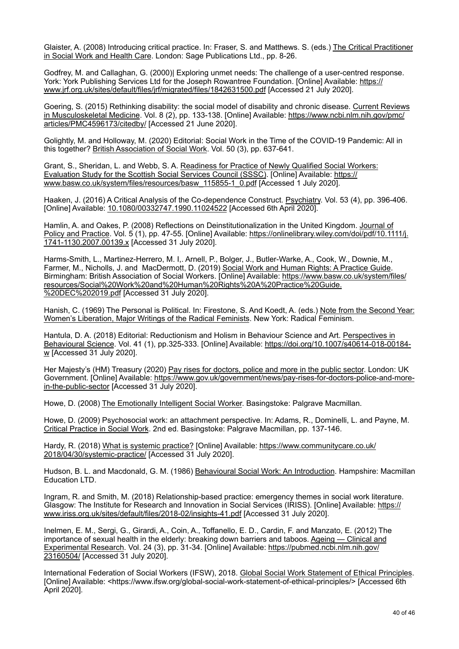Glaister, A. (2008) Introducing critical practice. In: Fraser, S. and Matthews. S. (eds.) The Critical Practitioner in Social Work and Health Care. London: Sage Publications Ltd., pp. 8-26.

Godfrey, M. and Callaghan, G. (2000)| Exploring unmet needs: The challenge of a user-centred response. York: York Publishing Services Ltd for the Joseph Rowantree Foundation. [Online] Available: [https://](https://www.jrf.org.uk/sites/default/files/jrf/migrated/files/1842631500.pdf) [www.jrf.org.uk/sites/default/files/jrf/migrated/files/1842631500.pdf](https://www.jrf.org.uk/sites/default/files/jrf/migrated/files/1842631500.pdf) [Accessed 21 July 2020].

Goering, S. (2015) Rethinking disability: the social model of disability and chronic disease. Current Reviews in Musculoskeletal Medicine. Vol. 8 (2), pp. 133-138. [Online] Available: [https://www.ncbi.nlm.nih.gov/pmc/](https://www.ncbi.nlm.nih.gov/pmc/articles/PMC4596173/citedby/) [articles/PMC4596173/citedby/](https://www.ncbi.nlm.nih.gov/pmc/articles/PMC4596173/citedby/) [Accessed 21 June 2020].

Golightly, M. and Holloway, M. (2020) Editorial: Social Work in the Time of the COVID-19 Pandemic: All in this together? British Association of Social Work. Vol. 50 (3), pp. 637-641.

Grant, S., Sheridan, L. and Webb, S. A. Readiness for Practice of Newly Qualified Social Workers: Evaluation Study for the Scottish Social Services Council (SSSC). [Online] Available: [https://](https://www.basw.co.uk/system/files/resources/basw_115855-1_0.pdf) [www.basw.co.uk/system/files/resources/basw\\_115855-1\\_0.pdf](https://www.basw.co.uk/system/files/resources/basw_115855-1_0.pdf) [Accessed 1 July 2020].

Haaken, J. (2016) A Critical Analysis of the Co-dependence Construct. Psychiatry. Vol. 53 (4), pp. 396-406. [Online] Available: [10.1080/00332747.1990.11024522](https://doi.org/10.1080/00332747.1990.11024522) [Accessed 6th April 2020].

Hamlin, A. and Oakes, P. (2008) Reflections on Deinstitutionalization in the United Kingdom. Journal of Policy and Practice. Vol. 5 (1), pp. 47-55. [Online] Available: [https://onlinelibrary.wiley.com/doi/pdf/10.1111/j.](https://onlinelibrary.wiley.com/doi/pdf/10.1111/j.1741-1130.2007.00139.x) [1741-1130.2007.00139.x](https://onlinelibrary.wiley.com/doi/pdf/10.1111/j.1741-1130.2007.00139.x) [Accessed 31 July 2020].

Harms-Smith, L., Martinez-Herrero, M. I,. Arnell, P., Bolger, J., Butler-Warke, A., Cook, W., Downie, M., Farmer, M., Nicholls, J. and MacDermott, D. (2019) Social Work and Human Rights: A Practice Guide. Birmingham: British Association of Social Workers. [Online] Available: [https://www.basw.co.uk/system/files/](https://www.basw.co.uk/system/files/resources/Social%20Work%20and%20Human%20Rights%20A%20Practice%20Guide.%20DEC%202019.pdf) [resources/Social%20Work%20and%20Human%20Rights%20A%20Practice%20Guide.](https://www.basw.co.uk/system/files/resources/Social%20Work%20and%20Human%20Rights%20A%20Practice%20Guide.%20DEC%202019.pdf) [%20DEC%202019.pdf](https://www.basw.co.uk/system/files/resources/Social%20Work%20and%20Human%20Rights%20A%20Practice%20Guide.%20DEC%202019.pdf) [Accessed 31 July 2020].

Hanish, C. (1969) The Personal is Political. In: Firestone, S. And Koedt, A. (eds.) Note from the Second Year: Women's Liberation, Major Writings of the Radical Feminists. New York: Radical Feminism.

Hantula, D. A. (2018) Editorial: Reductionism and Holism in Behaviour Science and Art. Perspectives in Behavioural Science. Vol. 41 (1), pp.325-333. [Online] Available: [https://doi.org/10.1007/s40614-018-00184](https://doi.org/10.1007/s40614-018-00184-w) [w](https://doi.org/10.1007/s40614-018-00184-w) [Accessed 31 July 2020].

Her Majesty's (HM) Treasury (2020) Pay rises for doctors, police and more in the public sector. London: UK Government. [Online] Available: [https://www.gov.uk/government/news/pay-rises-for-doctors-police-and-more](https://www.gov.uk/government/news/pay-rises-for-doctors-police-and-more-in-the-public-sector)[in-the-public-sector](https://www.gov.uk/government/news/pay-rises-for-doctors-police-and-more-in-the-public-sector) [Accessed 31 July 2020].

Howe, D. (2008) The Emotionally Intelligent Social Worker. Basingstoke: Palgrave Macmillan.

Howe, D. (2009) Psychosocial work: an attachment perspective. In: Adams, R., Dominelli, L. and Payne, M. Critical Practice in Social Work. 2nd ed. Basingstoke: Palgrave Macmillan, pp. 137-146.

Hardy, R. (2018) What is systemic practice? [Online] Available: [https://www.communitycare.co.uk/](https://www.communitycare.co.uk/2018/04/30/systemic-practice/) [2018/04/30/systemic-practice/](https://www.communitycare.co.uk/2018/04/30/systemic-practice/) [Accessed 31 July 2020].

Hudson, B. L. and Macdonald, G. M. (1986) Behavioural Social Work: An Introduction. Hampshire: Macmillan Education LTD.

Ingram, R. and Smith, M. (2018) Relationship-based practice: emergency themes in social work literature. Glasgow: The Institute for Research and Innovation in Social Services (IRISS). [Online] Available: [https://](https://www.iriss.org.uk/sites/default/files/2018-02/insights-41.pdf) [www.iriss.org.uk/sites/default/files/2018-02/insights-41.pdf](https://www.iriss.org.uk/sites/default/files/2018-02/insights-41.pdf) [Accessed 31 July 2020].

Inelmen, E. M., Sergi, G., Girardi, A., Coin, A., Toffanello, E. D., Cardin, F. and Manzato, E. (2012) The importance of sexual health in the elderly: breaking down barriers and taboos. Ageing — Clinical and Experimental Research. Vol. 24 (3), pp. 31-34. [Online] Available: [https://pubmed.ncbi.nlm.nih.gov/](https://pubmed.ncbi.nlm.nih.gov/23160504/) [23160504/](https://pubmed.ncbi.nlm.nih.gov/23160504/) [Accessed 31 July 2020].

International Federation of Social Workers (IFSW), 2018. Global Social Work Statement of Ethical Principles. [Online] Available: <https://www.ifsw.org/global-social-work-statement-of-ethical-principles/> [Accessed 6th April 2020].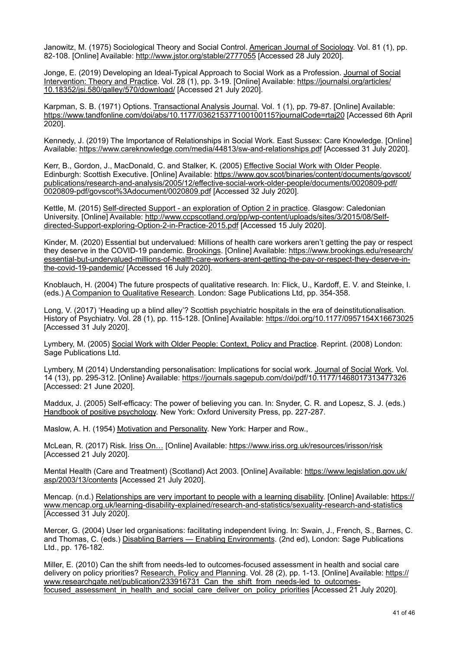Janowitz, M. (1975) Sociological Theory and Social Control. American Journal of Sociology. Vol. 81 (1), pp. 82-108. [Online] Available:<http://www.jstor.org/stable/2777055>[Accessed 28 July 2020].

Jonge, E. (2019) Developing an Ideal-Typical Approach to Social Work as a Profession. Journal of Social Intervention: Theory and Practice. Vol. 28 (1), pp. 3-19. [Online] Available: [https://journalsi.org/articles/](https://journalsi.org/articles/10.18352/jsi.580/galley/570/download/) [10.18352/jsi.580/galley/570/download/](https://journalsi.org/articles/10.18352/jsi.580/galley/570/download/) [Accessed 21 July 2020].

Karpman, S. B. (1971) Options. Transactional Analysis Journal. Vol. 1 (1), pp. 79-87. [Online] Available: <https://www.tandfonline.com/doi/abs/10.1177/036215377100100115?journalCode=rtaj20> [Accessed 6th April 2020].

Kennedy, J. (2019) The Importance of Relationships in Social Work. East Sussex: Care Knowledge. [Online] Available: <https://www.careknowledge.com/media/44813/sw-and-relationships.pdf> [Accessed 31 July 2020].

Kerr, B., Gordon, J., MacDonald, C. and Stalker, K. (2005) Effective Social Work with Older People. Edinburgh: Scottish Executive. [Online] Available: [https://www.gov.scot/binaries/content/documents/govscot/](https://www.gov.scot/binaries/content/documents/govscot/publications/research-and-analysis/2005/12/effective-social-work-older-people/documents/0020809-pdf/0020809-pdf/govscot%3Adocument/0020809.pdf) [publications/research-and-analysis/2005/12/effective-social-work-older-people/documents/0020809-pdf/](https://www.gov.scot/binaries/content/documents/govscot/publications/research-and-analysis/2005/12/effective-social-work-older-people/documents/0020809-pdf/0020809-pdf/govscot%3Adocument/0020809.pdf) [0020809-pdf/govscot%3Adocument/0020809.pdf](https://www.gov.scot/binaries/content/documents/govscot/publications/research-and-analysis/2005/12/effective-social-work-older-people/documents/0020809-pdf/0020809-pdf/govscot%3Adocument/0020809.pdf) [Accessed 32 July 2020].

Kettle, M. (2015) Self-directed Support - an exploration of Option 2 in practice. Glasgow: Caledonian University. [Online] Available: [http://www.ccpscotland.org/pp/wp-content/uploads/sites/3/2015/08/Self](http://www.ccpscotland.org/pp/wp-content/uploads/sites/3/2015/08/Self-directed-Support-exploring-Option-2-in-Practice-2015.pdf)[directed-Support-exploring-Option-2-in-Practice-2015.pdf \[Accessed 15 July 2020\].](http://www.ccpscotland.org/pp/wp-content/uploads/sites/3/2015/08/Self-directed-Support-exploring-Option-2-in-Practice-2015.pdf) 

Kinder, M. (2020) Essential but undervalued: Millions of health care workers aren't getting the pay or respect they deserve in the COVID-19 pandemic. Brookings. [Online] Available: [https://www.brookings.edu/research/](https://www.brookings.edu/research/essential-but-undervalued-millions-of-health-care-workers-arent-getting-the-pay-or-respect-they-deserve-in-the-covid-19-pandemic/) [essential-but-undervalued-millions-of-health-care-workers-arent-getting-the-pay-or-respect-they-deserve-in](https://www.brookings.edu/research/essential-but-undervalued-millions-of-health-care-workers-arent-getting-the-pay-or-respect-they-deserve-in-the-covid-19-pandemic/)[the-covid-19-pandemic/](https://www.brookings.edu/research/essential-but-undervalued-millions-of-health-care-workers-arent-getting-the-pay-or-respect-they-deserve-in-the-covid-19-pandemic/) [Accessed 16 July 2020].

Knoblauch, H. (2004) The future prospects of qualitative research. In: Flick, U., Kardoff, E. V. and Steinke, I. (eds.) A Companion to Qualitative Research. London: Sage Publications Ltd, pp. 354-358.

Long, V. (2017) 'Heading up a blind alley'? Scottish psychiatric hospitals in the era of deinstitutionalisation. History of Psychiatry. Vol. 28 (1), pp. 115-128. [Online] Available: <https://doi.org/10.1177/0957154X16673025> [Accessed 31 July 2020].

Lymbery, M. (2005) Social Work with Older People: Context, Policy and Practice. Reprint. (2008) London: Sage Publications Ltd.

Lymbery, M (2014) Understanding personalisation: Implications for social work. Journal of Social Work. Vol. 14 (13), pp. 295-312. [Online} Available:<https://journals.sagepub.com/doi/pdf/10.1177/1468017313477326> [Accessed: 21 June 2020].

Maddux, J. (2005) Self-efficacy: The power of believing you can. In: Snyder, C. R. and Lopesz, S. J. (eds.) Handbook of positive psychology. New York: Oxford University Press, pp. 227-287.

Maslow, A. H. (1954) Motivation and Personality. New York: Harper and Row.,

McLean, R. (2017) Risk. Iriss On… [Online] Available:<https://www.iriss.org.uk/resources/irisson/risk> [Accessed 21 July 2020].

Mental Health (Care and Treatment) (Scotland) Act 2003. [Online] Available: [https://www.legislation.gov.uk/](https://www.legislation.gov.uk/asp/2003/13/contents) [asp/2003/13/contents](https://www.legislation.gov.uk/asp/2003/13/contents) [Accessed 21 July 2020].

Mencap. (n.d.) Relationships are very important to people with a learning disability. [Online] Available: [https://](https://www.mencap.org.uk/learning-disability-explained/research-and-statistics/sexuality-research-and-statistics) [www.mencap.org.uk/learning-disability-explained/research-and-statistics/sexuality-research-and-statistics](https://www.mencap.org.uk/learning-disability-explained/research-and-statistics/sexuality-research-and-statistics) [Accessed 31 July 2020].

Mercer, G. (2004) User led organisations: facilitating independent living. In: Swain, J., French, S., Barnes, C. and Thomas, C. (eds.) Disabling Barriers — Enabling Environments. (2nd ed), London: Sage Publications Ltd., pp. 176-182.

Miller, E. (2010) Can the shift from needs-led to outcomes-focused assessment in health and social care delivery on policy priorities? Research, Policy and Planning. Vol. 28 (2), pp. 1-13. [Online] Available: [https://](https://www.researchgate.net/publication/233916731_Can_the_shift_from_needs-led_to_outcomes-focused_assessment_in_health_and_social_care_deliver_on_policy_priorities) [www.researchgate.net/publication/233916731\\_Can\\_the\\_shift\\_from\\_needs-led\\_to\\_outcomes](https://www.researchgate.net/publication/233916731_Can_the_shift_from_needs-led_to_outcomes-focused_assessment_in_health_and_social_care_deliver_on_policy_priorities)focused assessment in health and social care deliver on policy priorities [Accessed 21 July 2020].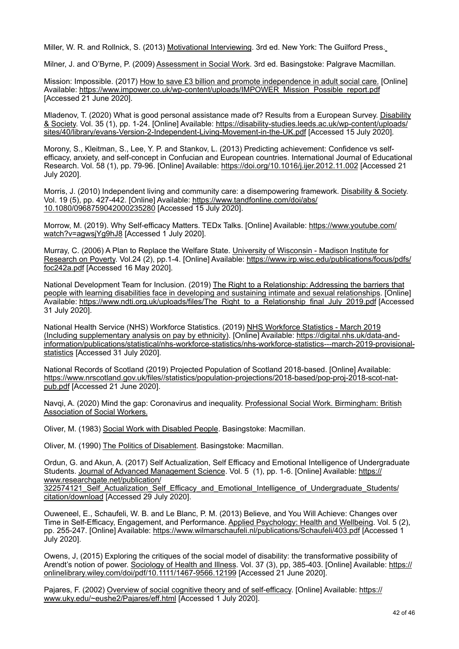Miller, W. R. and Rollnick, S. (2013) Motivational Interviewing. 3rd ed. New York: The Guilford Press.

Milner, J. and O'Byrne, P. (2009) Assessment in Social Work. 3rd ed. Basingstoke: Palgrave Macmillan.

Mission: Impossible. (2017) How to save £3 billion and promote independence in adult social care. [Online] Available: [https://www.impower.co.uk/wp-content/uploads/IMPOWER\\_Mission\\_Possible\\_report.pdf](https://www.impower.co.uk/wp-content/uploads/IMPOWER_Mission_Possible_report.pdf) [Accessed 21 June 2020].

Mladenov, T. (2020) What is good personal assistance made of? Results from a European Survey. Disability & Society. Vol. 35 (1), pp. 1-24. [Online] Available: [https://disability-studies.leeds.ac.uk/wp-content/uploads/](https://disability-studies.leeds.ac.uk/wp-content/uploads/sites/40/library/evans-Version-2-Independent-Living-Movement-in-the-UK.pdf) [sites/40/library/evans-Version-2-Independent-Living-Movement-in-the-UK.pdf \[Accessed 15 July 2020\].](https://disability-studies.leeds.ac.uk/wp-content/uploads/sites/40/library/evans-Version-2-Independent-Living-Movement-in-the-UK.pdf) 

Morony, S., Kleitman, S., Lee, Y. P. and Stankov, L. (2013) Predicting achievement: Confidence vs selfefficacy, anxiety, and self-concept in Confucian and European countries. International Journal of Educational Research. Vol. 58 (1), pp. 79-96. [Online] Available: <https://doi.org/10.1016/j.ijer.2012.11.002> [Accessed 21 July 2020].

Morris, J. (2010) Independent living and community care: a disempowering framework. Disability & Society. Vol. 19 (5), pp. 427-442. [Online] Available: [https://www.tandfonline.com/doi/abs/](https://www.tandfonline.com/doi/abs/10.1080/0968759042000235280) [10.1080/0968759042000235280](https://www.tandfonline.com/doi/abs/10.1080/0968759042000235280) [Accessed 15 July 2020].

Morrow, M. (2019). Why Self-efficacy Matters. TEDx Talks. [Online] Available: [https://www.youtube.com/](https://www.youtube.com/watch?v=agwsjYg9hJ8) [watch?v=agwsjYg9hJ8](https://www.youtube.com/watch?v=agwsjYg9hJ8) [Accessed 1 July 2020].

Murray, C. (2006) A Plan to Replace the Welfare State. University of Wisconsin - Madison Institute for Research on Poverty. Vol.24 (2), pp.1-4. [Online] Available: [https://www.irp.wisc.edu/publications/focus/pdfs/](https://www.irp.wisc.edu/publications/focus/pdfs/foc242a.pdf) [foc242a.pdf](https://www.irp.wisc.edu/publications/focus/pdfs/foc242a.pdf) [Accessed 16 May 2020].

National Development Team for Inclusion. (2019) The Right to a Relationship: Addressing the barriers that people with learning disabilities face in developing and sustaining intimate and sexual relationships. [Online] Available: [https://www.ndti.org.uk/uploads/files/The\\_Right\\_to\\_a\\_Relationship\\_final\\_July\\_2019.pdf](https://www.ndti.org.uk/uploads/files/The_Right_to_a_Relationship_final_July_2019.pdf) [Accessed 31 July 2020].

National Health Service (NHS) Workforce Statistics. (2019) NHS Workforce Statistics - March 2019 (Including supplementary analysis on pay by ethnicity). [Online] Available: [https://digital.nhs.uk/data-and](https://digital.nhs.uk/data-and-information/publications/statistical/nhs-workforce-statistics/nhs-workforce-statistics---march-2019-provisional-statistics)[information/publications/statistical/nhs-workforce-statistics/nhs-workforce-statistics---march-2019-provisional](https://digital.nhs.uk/data-and-information/publications/statistical/nhs-workforce-statistics/nhs-workforce-statistics---march-2019-provisional-statistics)[statistics](https://digital.nhs.uk/data-and-information/publications/statistical/nhs-workforce-statistics/nhs-workforce-statistics---march-2019-provisional-statistics) [Accessed 31 July 2020].

National Records of Scotland (2019) Projected Population of Scotland 2018-based. [Online] Available: [https://www.nrscotland.gov.uk/files//statistics/population-projections/2018-based/pop-proj-2018-scot-nat](https://www.nrscotland.gov.uk/files//statistics/population-projections/2018-based/pop-proj-2018-scot-nat-pub.pdf)[pub.pdf](https://www.nrscotland.gov.uk/files//statistics/population-projections/2018-based/pop-proj-2018-scot-nat-pub.pdf) [Accessed 21 June 2020].

Navqi, A. (2020) Mind the gap: Coronavirus and inequality. Professional Social Work. Birmingham: British Association of Social Workers.

Oliver, M. (1983) Social Work with Disabled People. Basingstoke: Macmillan.

Oliver, M. (1990) The Politics of Disablement. Basingstoke: Macmillan.

Ordun, G. and Akun, A. (2017) Self Actualization, Self Efficacy and Emotional Intelligence of Undergraduate Students. Journal of Advanced Management Science. Vol. 5 (1), pp. 1-6. [Online] Available: [https://](https://www.researchgate.net/publication/322574121_Self_Actualization_Self_Efficacy_and_Emotional_Intelligence_of_Undergraduate_Students/citation/download) [www.researchgate.net/publication/](https://www.researchgate.net/publication/322574121_Self_Actualization_Self_Efficacy_and_Emotional_Intelligence_of_Undergraduate_Students/citation/download)

322574121 Self Actualization Self Efficacy and Emotional Intelligence of Undergraduate Students/ [citation/download](https://www.researchgate.net/publication/322574121_Self_Actualization_Self_Efficacy_and_Emotional_Intelligence_of_Undergraduate_Students/citation/download) [Accessed 29 July 2020].

Ouweneel, E., Schaufeli, W. B. and Le Blanc, P. M. (2013) Believe, and You Will Achieve: Changes over Time in Self-Efficacy, Engagement, and Performance. Applied Psychology: Health and Wellbeing. Vol. 5 (2), pp. 255-247. [Online] Available:<https://www.wilmarschaufeli.nl/publications/Schaufeli/403.pdf> [Accessed 1 July 2020].

Owens, J, (2015) Exploring the critiques of the social model of disability: the transformative possibility of Arendt's notion of power. Sociology of Health and Illness. Vol. 37 (3), pp, 385-403. [Online] Available: [https://](https://onlinelibrary.wiley.com/doi/pdf/10.1111/1467-9566.12199) [onlinelibrary.wiley.com/doi/pdf/10.1111/1467-9566.12199](https://onlinelibrary.wiley.com/doi/pdf/10.1111/1467-9566.12199) [Accessed 21 June 2020].

Pajares, F. (2002) Overview of social cognitive theory and of self-efficacy. [Online] Available: [https://](https://www.uky.edu/~eushe2/Pajares/eff.html) [www.uky.edu/~eushe2/Pajares/eff.html](https://www.uky.edu/~eushe2/Pajares/eff.html) [Accessed 1 July 2020].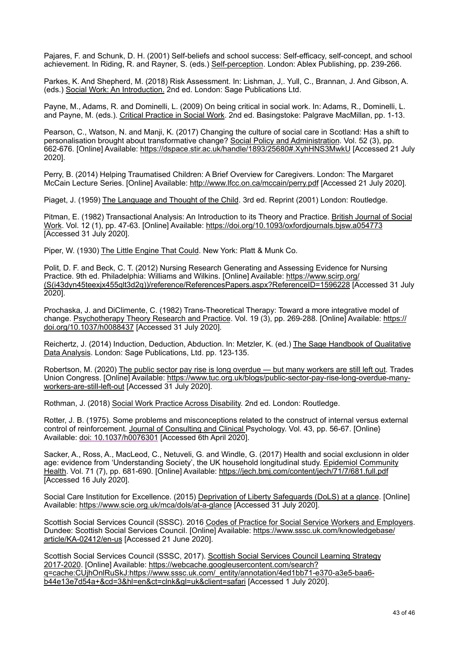Pajares, F. and Schunk, D. H. (2001) Self-beliefs and school success: Self-efficacy, self-concept, and school achievement. In Riding, R. and Rayner, S. (eds.) Self-perception. London: Ablex Publishing, pp. 239-266.

Parkes, K. And Shepherd, M. (2018) Risk Assessment. In: Lishman, J,. Yull, C., Brannan, J. And Gibson, A. (eds.) Social Work: An Introduction. 2nd ed. London: Sage Publications Ltd.

Payne, M., Adams, R. and Dominelli, L. (2009) On being critical in social work. In: Adams, R., Dominelli, L. and Payne, M. (eds.). Critical Practice in Social Work. 2nd ed. Basingstoke: Palgrave MacMillan, pp. 1-13.

Pearson, C., Watson, N. and Manji, K. (2017) Changing the culture of social care in Scotland: Has a shift to personalisation brought about transformative change? Social Policy and Administration. Vol. 52 (3), pp. 662-676. [Online] Available: <https://dspace.stir.ac.uk/handle/1893/25680#.XyhHNS3MwkU>[Accessed 21 July 2020].

Perry, B. (2014) Helping Traumatised Children: A Brief Overview for Caregivers. London: The Margaret McCain Lecture Series. [Online] Available:<http://www.lfcc.on.ca/mccain/perry.pdf> [Accessed 21 July 2020].

Piaget, J. (1959) The Language and Thought of the Child. 3rd ed. Reprint (2001) London: Routledge.

Pitman, E. (1982) Transactional Analysis: An Introduction to its Theory and Practice. British Journal of Social Work. Vol. 12 (1), pp. 47-63. [Online] Available:<https://doi.org/10.1093/oxfordjournals.bjsw.a054773> [Accessed 31 July 2020].

Piper, W. (1930) The Little Engine That Could. New York: Platt & Munk Co.

Polit, D. F. and Beck, C. T. (2012) Nursing Research Generating and Assessing Evidence for Nursing Practice. 9th ed. Philadelphia: Williams and Wilkins. [Online] Available: [https://www.scirp.org/](https://www.scirp.org/(S(i43dyn45teexjx455qlt3d2q))/reference/ReferencesPapers.aspx?ReferenceID=1596228) [\(S\(i43dyn45teexjx455qlt3d2q\)\)/reference/ReferencesPapers.aspx?ReferenceID=1596228 \[A](https://www.scirp.org/(S(i43dyn45teexjx455qlt3d2q))/reference/ReferencesPapers.aspx?ReferenceID=1596228)ccessed 31 July 2020].

Prochaska, J. and DiClimente, C. (1982) Trans-Theoretical Therapy: Toward a more integrative model of change. Psychotherapy Theory Research and Practice. Vol. 19 (3), pp. 269-288. [Online] Available: [https://](https://doi.org/10.1037/h0088437) [doi.org/10.1037/h0088437](https://doi.org/10.1037/h0088437) [Accessed 31 July 2020].

Reichertz, J. (2014) Induction, Deduction, Abduction. In: Metzler, K. (ed.) The Sage Handbook of Qualitative Data Analysis. London: Sage Publications, Ltd. pp. 123-135.

Robertson, M. (2020) The public sector pay rise is long overdue — but many workers are still left out. Trades Union Congress. [Online] Available: [https://www.tuc.org.uk/blogs/public-sector-pay-rise-long-overdue-many](https://www.tuc.org.uk/blogs/public-sector-pay-rise-long-overdue-many-workers-are-still-left-out)[workers-are-still-left-out](https://www.tuc.org.uk/blogs/public-sector-pay-rise-long-overdue-many-workers-are-still-left-out) [Accessed 31 July 2020].

Rothman, J. (2018) Social Work Practice Across Disability. 2nd ed. London: Routledge.

Rotter, J. B. (1975). Some problems and misconceptions related to the construct of internal versus external control of reinforcement. Journal of Consulting and Clinical Psychology. Vol. 43, pp. 56-67. [Online} Available: [doi: 10.1037/h0076301](http://psycnet.apa.org/journals/ccp/43/1/56/) [Accessed 6th April 2020].

Sacker, A., Ross, A., MacLeod, C., Netuveli, G. and Windle, G. (2017) Health and social exclusionn in older age: evidence from 'Understanding Society', the UK household longitudinal study. Epidemiol Community Health. Vol. 71 (7), pp. 681-690. [Online] Available:<https://jech.bmj.com/content/jech/71/7/681.full.pdf> [Accessed 16 July 2020].

Social Care Institution for Excellence. (2015) Deprivation of Liberty Safeguards (DoLS) at a glance. [Online] Available: <https://www.scie.org.uk/mca/dols/at-a-glance> [Accessed 31 July 2020].

Scottish Social Services Council (SSSC). 2016 Codes of Practice for Social Service Workers and Employers. Dundee: Scottish Social Services Council. [Online] Available: [https://www.sssc.uk.com/knowledgebase/](https://www.sssc.uk.com/knowledgebase/article/KA-02412/en-us) [article/KA-02412/en-us](https://www.sssc.uk.com/knowledgebase/article/KA-02412/en-us) [Accessed 21 June 2020].

Scottish Social Services Council (SSSC, 2017). Scottish Social Services Council Learning Strategy 2017-2020. [Online] Available: [https://webcache.googleusercontent.com/search?](https://webcache.googleusercontent.com/search?q=cache:CUjhOnlRuSkJ:https://www.sssc.uk.com/_entity/annotation/4ed1bb71-e370-a3e5-baa6-b44e13e7d54a+&cd=3&hl=en&ct=clnk&gl=uk&client=safari) [q=cache:CUjhOnlRuSkJ:https://www.sssc.uk.com/\\_entity/annotation/4ed1bb71-e370-a3e5-baa6](https://webcache.googleusercontent.com/search?q=cache:CUjhOnlRuSkJ:https://www.sssc.uk.com/_entity/annotation/4ed1bb71-e370-a3e5-baa6-b44e13e7d54a+&cd=3&hl=en&ct=clnk&gl=uk&client=safari) [b44e13e7d54a+&cd=3&hl=en&ct=clnk&gl=uk&client=safari](https://webcache.googleusercontent.com/search?q=cache:CUjhOnlRuSkJ:https://www.sssc.uk.com/_entity/annotation/4ed1bb71-e370-a3e5-baa6-b44e13e7d54a+&cd=3&hl=en&ct=clnk&gl=uk&client=safari) [Accessed 1 July 2020].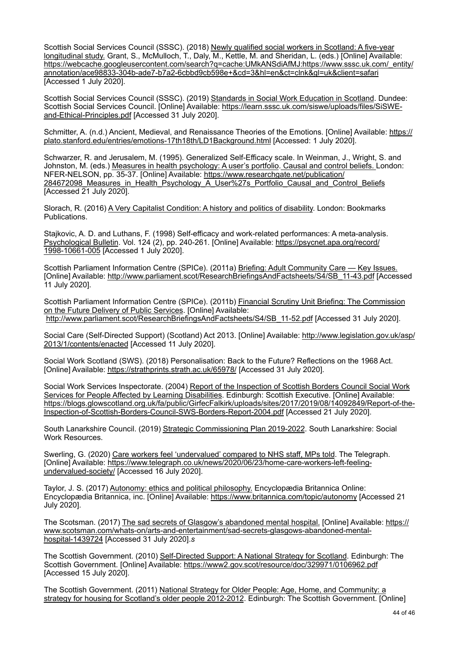Scottish Social Services Council (SSSC). (2018) Newly qualified social workers in Scotland: A five-year longitudinal study. Grant, S., McMulloch, T., Daly, M., Kettle, M. and Sheridan, L. (eds.) [Online] Available: [https://webcache.googleusercontent.com/search?q=cache:UMkANSdiAfMJ:https://www.sssc.uk.com/\\_entity/](https://webcache.googleusercontent.com/search?q=cache:UMkANSdiAfMJ:https://www.sssc.uk.com/_entity/annotation/ace98833-304b-ade7-b7a2-6cbbd9cb598e+&cd=3&hl=en&ct=clnk&gl=uk&client=safari) [annotation/ace98833-304b-ade7-b7a2-6cbbd9cb598e+&cd=3&hl=en&ct=clnk&gl=uk&client=safari](https://webcache.googleusercontent.com/search?q=cache:UMkANSdiAfMJ:https://www.sssc.uk.com/_entity/annotation/ace98833-304b-ade7-b7a2-6cbbd9cb598e+&cd=3&hl=en&ct=clnk&gl=uk&client=safari) [Accessed 1 July 2020].

Scottish Social Services Council (SSSC). (2019) Standards in Social Work Education in Scotland. Dundee: Scottish Social Services Council. [Online] Available: [https://learn.sssc.uk.com/siswe/uploads/files/SiSWE](https://learn.sssc.uk.com/siswe/uploads/files/SiSWE-and-Ethical-Principles.pdf)[and-Ethical-Principles.pdf](https://learn.sssc.uk.com/siswe/uploads/files/SiSWE-and-Ethical-Principles.pdf) [Accessed 31 July 2020].

Schmitter, A. (n.d.) Ancient, Medieval, and Renaissance Theories of the Emotions. [Online] Available: [https://](https://plato.stanford.edu/entries/emotions-17th18th/LD1Background.html) [plato.stanford.edu/entries/emotions-17th18th/LD1Background.html](https://plato.stanford.edu/entries/emotions-17th18th/LD1Background.html) [Accessed: 1 July 2020].

Schwarzer, R. and Jerusalem, M. (1995). Generalized Self-Efficacy scale. In Weinman, J., Wright, S. and Johnston, M. (eds.) Measures in health psychology: A user's portfolio. Causal and control beliefs. London: NFER-NELSON, pp. 35-37. [Online] Available: [https://www.researchgate.net/publication/](https://www.researchgate.net/publication/284672098_Measures_in_Health_Psychology_A_User%27s_Portfolio_Causal_and_Control_Beliefs) 284672098 Measures in Health Psychology A User%27s Portfolio Causal and Control Beliefs  $[Accessed 21 July 2020]$ .

Slorach, R. (2016) A Very Capitalist Condition: A history and politics of disability. London: Bookmarks Publications.

Stajkovic, A. D. and Luthans, F. (1998) Self-efficacy and work-related performances: A meta-analysis. Psychological Bulletin. Vol. 124 (2), pp. 240-261. [Online] Available: [https://psycnet.apa.org/record/](https://psycnet.apa.org/record/1998-10661-005) [1998-10661-005](https://psycnet.apa.org/record/1998-10661-005) [Accessed 1 July 2020].

Scottish Parliament Information Centre (SPICe). (2011a) Briefing: Adult Community Care — Key Issues. [Online] Available: [http://www.parliament.scot/ResearchBriefingsAndFactsheets/S4/SB\\_11-43.pdf](http://www.parliament.scot/ResearchBriefingsAndFactsheets/S4/SB_11-43.pdf) [Accessed 11 July 2020].

Scottish Parliament Information Centre (SPICe). (2011b) Financial Scrutiny Unit Briefing: The Commission on the Future Delivery of Public Services. [Online] Available: [http://www.parliament.scot/ResearchBriefingsAndFactsheets/S4/SB\\_11-52.pdf](http://www.parliament.scot/ResearchBriefingsAndFactsheets/S4/SB_11-52.pdf) [Accessed 31 July 2020].

Social Care (Self-Directed Support) (Scotland) Act 2013. [Online] Available: [http://www.legislation.gov.uk/asp/](http://www.legislation.gov.uk/asp/2013/1/contents/enacted) [2013/1/contents/enacted](http://www.legislation.gov.uk/asp/2013/1/contents/enacted) [Accessed 11 July 2020].

Social Work Scotland (SWS). (2018) Personalisation: Back to the Future? Reflections on the 1968 Act. [Online] Available:<https://strathprints.strath.ac.uk/65978/>[Accessed 31 July 2020].

Social Work Services Inspectorate. (2004) Report of the Inspection of Scottish Borders Council Social Work Services for People Affected by Learning Disabilities. Edinburgh: Scottish Executive. [Online] Available: [https://blogs.glowscotland.org.uk/fa/public/GirfecFalkirk/uploads/sites/2017/2019/08/14092849/Report-of-the-](https://blogs.glowscotland.org.uk/fa/public/GirfecFalkirk/uploads/sites/2017/2019/08/14092849/Report-of-the-Inspection-of-Scottish-Borders-Council-SWS-Borders-Report-2004.pdf)[Inspection-of-Scottish-Borders-Council-SWS-Borders-Report-2004.pdf](https://blogs.glowscotland.org.uk/fa/public/GirfecFalkirk/uploads/sites/2017/2019/08/14092849/Report-of-the-Inspection-of-Scottish-Borders-Council-SWS-Borders-Report-2004.pdf) [Accessed 21 July 2020].

South Lanarkshire Council. (2019) Strategic Commissioning Plan 2019-2022. South Lanarkshire: Social Work Resources.

Swerling, G. (2020) Care workers feel 'undervalued' compared to NHS staff, MPs told. The Telegraph. [Online] Available: [https://www.telegraph.co.uk/news/2020/06/23/home-care-workers-left-feeling](https://www.telegraph.co.uk/news/2020/06/23/home-care-workers-left-feeling-undervalued-society/)[undervalued-society/ \[Accessed 16 July 2020\].](https://www.telegraph.co.uk/news/2020/06/23/home-care-workers-left-feeling-undervalued-society/) 

Taylor, J. S. (2017) Autonomy: ethics and political philosophy. Encyclopædia Britannica Online: Encyclopædia Britannica, inc. [Online] Available:<https://www.britannica.com/topic/autonomy> [Accessed 21 July 2020].

The Scotsman. (2017) The sad secrets of Glasgow's abandoned mental hospital. [Online] Available: [https://](https://www.scotsman.com/whats-on/arts-and-entertainment/sad-secrets-glasgows-abandoned-mental-hospital-1439724) [www.scotsman.com/whats-on/arts-and-entertainment/sad-secrets-glasgows-abandoned-mental](https://www.scotsman.com/whats-on/arts-and-entertainment/sad-secrets-glasgows-abandoned-mental-hospital-1439724)[hospital-1439724](https://www.scotsman.com/whats-on/arts-and-entertainment/sad-secrets-glasgows-abandoned-mental-hospital-1439724) [Accessed 31 July 2020].*s*

The Scottish Government. (2010) Self-Directed Support: A National Strategy for Scotland. Edinburgh: The Scottish Government. [Online] Available:<https://www2.gov.scot/resource/doc/329971/0106962.pdf> [Accessed 15 July 2020].

The Scottish Government. (2011) National Strategy for Older People: Age, Home, and Community: a strategy for housing for Scotland's older people 2012-2012. Edinburgh: The Scottish Government. [Online]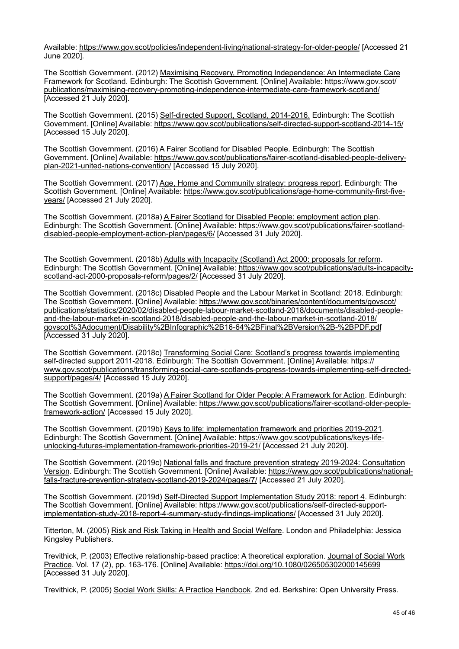Available: <https://www.gov.scot/policies/independent-living/national-strategy-for-older-people/>[Accessed 21 June 2020].

The Scottish Government. (2012) Maximising Recovery, Promoting Independence: An Intermediate Care Framework for Scotland. Edinburgh: The Scottish Government. [Online] Available: [https://www.gov.scot/](https://www.gov.scot/publications/maximising-recovery-promoting-independence-intermediate-care-framework-scotland/) [publications/maximising-recovery-promoting-independence-intermediate-care-framework-scotland/](https://www.gov.scot/publications/maximising-recovery-promoting-independence-intermediate-care-framework-scotland/) [Accessed 21 July 2020].

The Scottish Government. (2015) Self-directed Support, Scotland, 2014-2016. Edinburgh: The Scottish Government. [Online] Available:<https://www.gov.scot/publications/self-directed-support-scotland-2014-15/> [Accessed 15 July 2020].

The Scottish Government. (2016) A Fairer Scotland for Disabled People. Edinburgh: The Scottish Government. [Online] Available: [https://www.gov.scot/publications/fairer-scotland-disabled-people-delivery](https://www.gov.scot/publications/fairer-scotland-disabled-people-delivery-plan-2021-united-nations-convention/)[plan-2021-united-nations-convention/ \[Accessed 15 July 2020\].](https://www.gov.scot/publications/fairer-scotland-disabled-people-delivery-plan-2021-united-nations-convention/) 

The Scottish Government. (2017) Age, Home and Community strategy: progress report. Edinburgh: The Scottish Government. [Online] Available: [https://www.gov.scot/publications/age-home-community-first-five](https://www.gov.scot/publications/age-home-community-first-five-years/)[years/](https://www.gov.scot/publications/age-home-community-first-five-years/) [Accessed 21 July 2020].

The Scottish Government. (2018a) A Fairer Scotland for Disabled People: employment action plan. Edinburgh: The Scottish Government. [Online] Available: [https://www.gov.scot/publications/fairer-scotland](https://www.gov.scot/publications/fairer-scotland-disabled-people-employment-action-plan/pages/6/)[disabled-people-employment-action-plan/pages/6/](https://www.gov.scot/publications/fairer-scotland-disabled-people-employment-action-plan/pages/6/) [Accessed 31 July 2020].

The Scottish Government. (2018b) Adults with Incapacity (Scotland) Act 2000: proposals for reform. Edinburgh: The Scottish Government. [Online] Available: [https://www.gov.scot/publications/adults-incapacity](https://www.gov.scot/publications/adults-incapacity-scotland-act-2000-proposals-reform/pages/2/)[scotland-act-2000-proposals-reform/pages/2/](https://www.gov.scot/publications/adults-incapacity-scotland-act-2000-proposals-reform/pages/2/) [Accessed 31 July 2020].

The Scottish Government. (2018c) Disabled People and the Labour Market in Scotland: 2018. Edinburgh: The Scottish Government. [Online] Available: [https://www.gov.scot/binaries/content/documents/govscot/](https://www.gov.scot/binaries/content/documents/govscot/publications/statistics/2020/02/disabled-people-labour-market-scotland-2018/documents/disabled-people-and-the-labour-market-in-scotland-2018/disabled-people-and-the-labour-market-in-scotland-2018/govscot%3Adocument/Disability%2BInfographic%2B16-64%2BFinal%2BVersion%2B-%2BPDF.pdf) [publications/statistics/2020/02/disabled-people-labour-market-scotland-2018/documents/disabled-people](https://www.gov.scot/binaries/content/documents/govscot/publications/statistics/2020/02/disabled-people-labour-market-scotland-2018/documents/disabled-people-and-the-labour-market-in-scotland-2018/disabled-people-and-the-labour-market-in-scotland-2018/govscot%3Adocument/Disability%2BInfographic%2B16-64%2BFinal%2BVersion%2B-%2BPDF.pdf)[and-the-labour-market-in-scotland-2018/disabled-people-and-the-labour-market-in-scotland-2018/](https://www.gov.scot/binaries/content/documents/govscot/publications/statistics/2020/02/disabled-people-labour-market-scotland-2018/documents/disabled-people-and-the-labour-market-in-scotland-2018/disabled-people-and-the-labour-market-in-scotland-2018/govscot%3Adocument/Disability%2BInfographic%2B16-64%2BFinal%2BVersion%2B-%2BPDF.pdf) [govscot%3Adocument/Disability%2BInfographic%2B16-64%2BFinal%2BVersion%2B-%2BPDF.pdf](https://www.gov.scot/binaries/content/documents/govscot/publications/statistics/2020/02/disabled-people-labour-market-scotland-2018/documents/disabled-people-and-the-labour-market-in-scotland-2018/disabled-people-and-the-labour-market-in-scotland-2018/govscot%3Adocument/Disability%2BInfographic%2B16-64%2BFinal%2BVersion%2B-%2BPDF.pdf) [Accessed 31 July 2020].

The Scottish Government. (2018c) Transforming Social Care: Scotland's progress towards implementing self-directed support 2011-2018. Edinburgh: The Scottish Government. [Online] Available: [https://](https://www.gov.scot/publications/transforming-social-care-scotlands-progress-towards-implementing-self-directed-support/pages/4/) [www.gov.scot/publications/transforming-social-care-scotlands-progress-towards-implementing-self-directed](https://www.gov.scot/publications/transforming-social-care-scotlands-progress-towards-implementing-self-directed-support/pages/4/)[support/pages/4/](https://www.gov.scot/publications/transforming-social-care-scotlands-progress-towards-implementing-self-directed-support/pages/4/) [Accessed 15 July 2020].

The Scottish Government. (2019a) A Fairer Scotland for Older People: A Framework for Action. Edinburgh: The Scottish Government. [Online] Available: [https://www.gov.scot/publications/fairer-scotland-older-people](https://www.gov.scot/publications/fairer-scotland-older-people-framework-action/)[framework-action/](https://www.gov.scot/publications/fairer-scotland-older-people-framework-action/) [Accessed 15 July 2020].

The Scottish Government. (2019b) Keys to life: implementation framework and priorities 2019-2021. Edinburgh: The Scottish Government. [Online] Available: [https://www.gov.scot/publications/keys-life](https://www.gov.scot/publications/keys-life-unlocking-futures-implementation-framework-priorities-2019-21/)[unlocking-futures-implementation-framework-priorities-2019-21/ \[Accessed 21 July 2020\].](https://www.gov.scot/publications/keys-life-unlocking-futures-implementation-framework-priorities-2019-21/) 

The Scottish Government. (2019c) National falls and fracture prevention strategy 2019-2024: Consultation Version. Edinburgh: The Scottish Government. [Online] Available: [https://www.gov.scot/publications/national](https://www.gov.scot/publications/national-falls-fracture-prevention-strategy-scotland-2019-2024/pages/7/)[falls-fracture-prevention-strategy-scotland-2019-2024/pages/7/](https://www.gov.scot/publications/national-falls-fracture-prevention-strategy-scotland-2019-2024/pages/7/) [Accessed 21 July 2020].

The Scottish Government. (2019d) Self-Directed Support Implementation Study 2018: report 4. Edinburgh: The Scottish Government. [Online] Available: [https://www.gov.scot/publications/self-directed-support](https://www.gov.scot/publications/self-directed-support-implementation-study-2018-report-4-summary-study-findings-implications/)[implementation-study-2018-report-4-summary-study-findings-implications/ \[Accessed 31 July 2020\].](https://www.gov.scot/publications/self-directed-support-implementation-study-2018-report-4-summary-study-findings-implications/) 

Titterton, M. (2005) Risk and Risk Taking in Health and Social Welfare. London and Philadelphia: Jessica Kingsley Publishers.

Trevithick, P. (2003) Effective relationship-based practice: A theoretical exploration. Journal of Social Work Practice. Vol. 17 (2), pp. 163-176. [Online] Available:<https://doi.org/10.1080/026505302000145699> [Accessed 31 July 2020].

Trevithick, P. (2005) Social Work Skills: A Practice Handbook. 2nd ed. Berkshire: Open University Press.